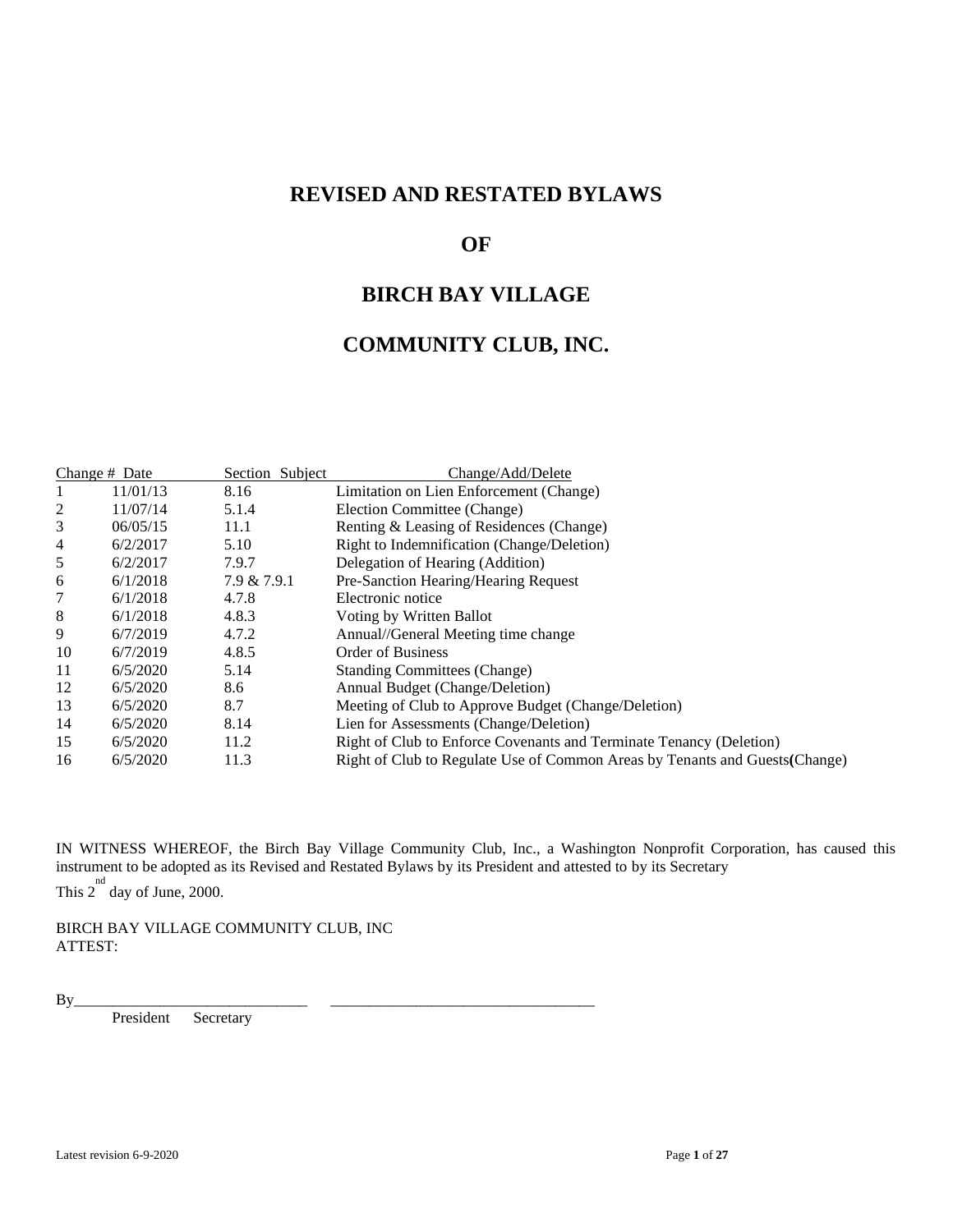# **REVISED AND RESTATED BYLAWS**

# **OF**

# **BIRCH BAY VILLAGE**

# **COMMUNITY CLUB, INC.**

| Change # Date |          | Section Subject | Change/Add/Delete                                                            |
|---------------|----------|-----------------|------------------------------------------------------------------------------|
|               | 11/01/13 | 8.16            | Limitation on Lien Enforcement (Change)                                      |
| 2             | 11/07/14 | 5.1.4           | Election Committee (Change)                                                  |
| 3             | 06/05/15 | 11.1            | Renting & Leasing of Residences (Change)                                     |
| 4             | 6/2/2017 | 5.10            | Right to Indemnification (Change/Deletion)                                   |
| 5             | 6/2/2017 | 7.9.7           | Delegation of Hearing (Addition)                                             |
| 6             | 6/1/2018 | 7.9 & 7.9.1     | Pre-Sanction Hearing/Hearing Request                                         |
|               | 6/1/2018 | 4.7.8           | Electronic notice                                                            |
| 8             | 6/1/2018 | 4.8.3           | Voting by Written Ballot                                                     |
| 9             | 6/7/2019 | 4.7.2           | Annual//General Meeting time change                                          |
| 10            | 6/7/2019 | 4.8.5           | Order of Business                                                            |
| 11            | 6/5/2020 | 5.14            | <b>Standing Committees (Change)</b>                                          |
| 12            | 6/5/2020 | 8.6             | Annual Budget (Change/Deletion)                                              |
| 13            | 6/5/2020 | 8.7             | Meeting of Club to Approve Budget (Change/Deletion)                          |
| 14            | 6/5/2020 | 8.14            | Lien for Assessments (Change/Deletion)                                       |
| 15            | 6/5/2020 | 11.2            | Right of Club to Enforce Covenants and Terminate Tenancy (Deletion)          |
| 16            | 6/5/2020 | 11.3            | Right of Club to Regulate Use of Common Areas by Tenants and Guests (Change) |

IN WITNESS WHEREOF, the Birch Bay Village Community Club, Inc., a Washington Nonprofit Corporation, has caused this instrument to be adopted as its Revised and Restated Bylaws by its President and attested to by its Secretary This  $2^{nd}$  day of June, 2000.

BIRCH BAY VILLAGE COMMUNITY CLUB, INC ATTEST:

By\_\_\_\_\_\_\_\_\_\_\_\_\_\_\_\_\_\_\_\_\_\_\_\_\_\_\_\_\_\_ \_\_\_\_\_\_\_\_\_\_\_\_\_\_\_\_\_\_\_\_\_\_\_\_\_\_\_\_\_\_\_\_\_\_

President Secretary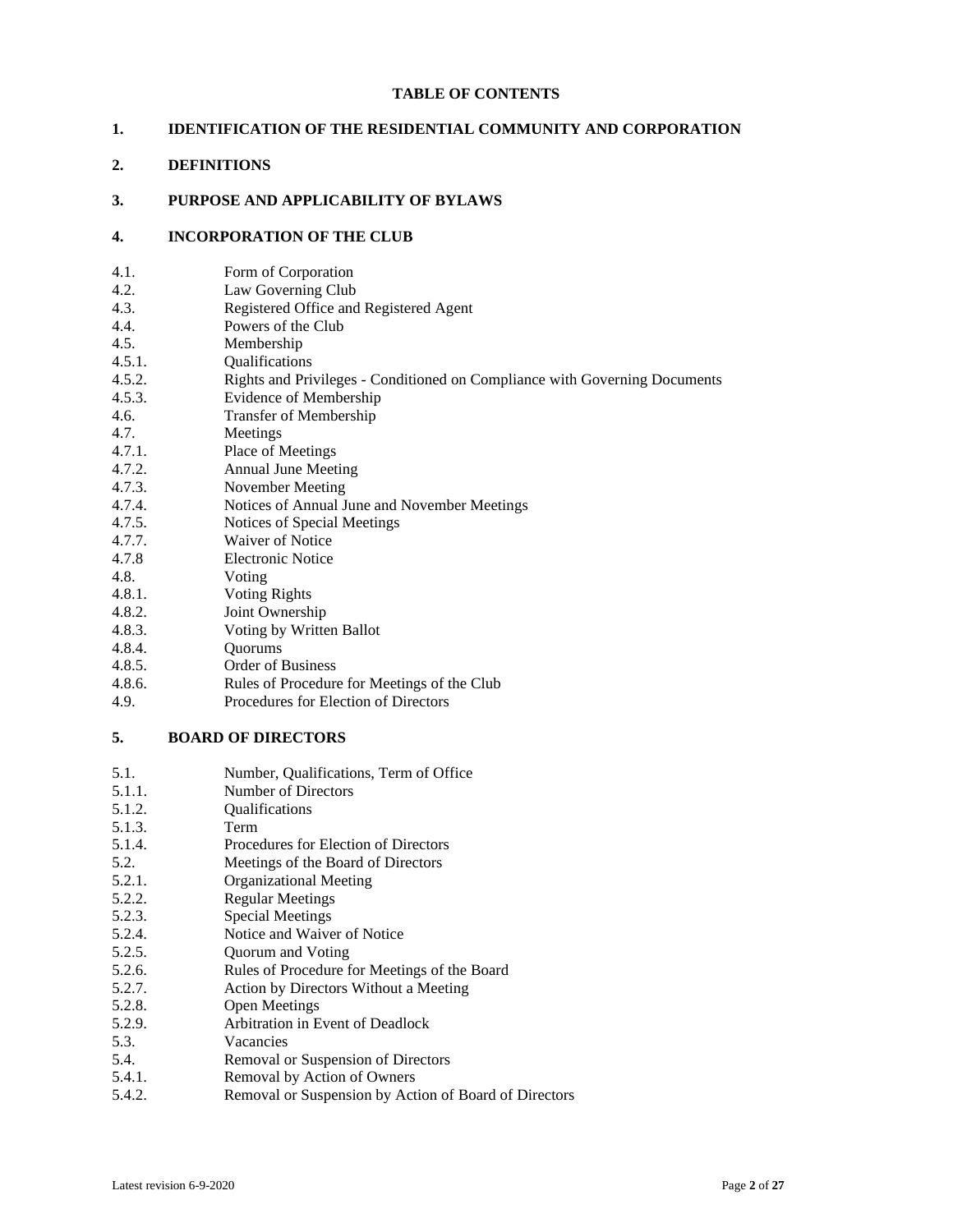#### **TABLE OF CONTENTS**

# **1. IDENTIFICATION OF THE RESIDENTIAL COMMUNITY AND CORPORATION**

# **2. DEFINITIONS**

# **3. PURPOSE AND APPLICABILITY OF BYLAWS**

### **4. INCORPORATION OF THE CLUB**

| 4.1. | Form of Corporation |
|------|---------------------|
|------|---------------------|

- 4.2. Law Governing Club
- 4.3. Registered Office and Registered Agent
- 4.4. Powers of the Club
- 4.5. Membership
- 4.5.1. Qualifications
- 4.5.2. Rights and Privileges Conditioned on Compliance with Governing Documents
- 4.5.3. Evidence of Membership
- 4.6. Transfer of Membership
- 4.7. Meetings
- 4.7.1. Place of Meetings
- 4.7.2. Annual June Meeting
- 4.7.3. November Meeting
- 4.7.4. Notices of Annual June and November Meetings
- 4.7.5. Notices of Special Meetings
- 4.7.7. Waiver of Notice
- 4.7.8 Electronic Notice
- 4.8. Voting
- 4.8.1. Voting Rights
- 4.8.2. Joint Ownership
- 4.8.3. Voting by Written Ballot
- 4.8.4. Quorums
- 4.8.5. Order of Business
- 4.8.6. Rules of Procedure for Meetings of the Club
- 4.9. Procedures for Election of Directors

# **5. BOARD OF DIRECTORS**

- 5.1. Number, Qualifications, Term of Office 5.1.1. Number of Directors 5.1.2. Qualifications 5.1.3. Term 5.1.4. Procedures for Election of Directors 5.2. Meetings of the Board of Directors 5.2.1. Organizational Meeting 5.2.2. Regular Meetings 5.2.3. Special Meetings 5.2.4. Notice and Waiver of Notice 5.2.5. Quorum and Voting 5.2.6. Rules of Procedure for Meetings of the Board 5.2.7. Action by Directors Without a Meeting 5.2.8. Open Meetings 5.2.9. Arbitration in Event of Deadlock 5.3. Vacancies 5.4. Removal or Suspension of Directors 5.4.1. Removal by Action of Owners
- 5.4.2. Removal or Suspension by Action of Board of Directors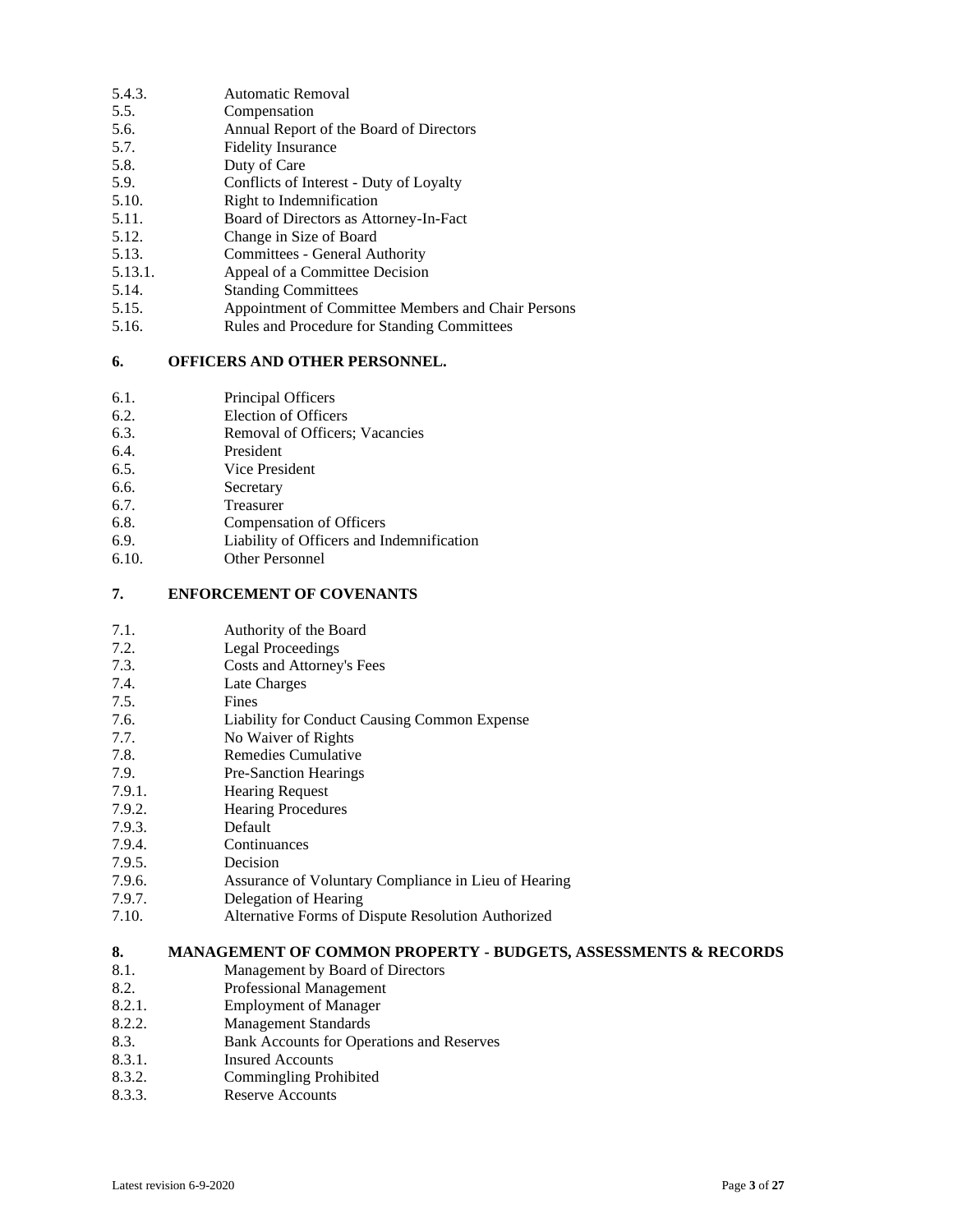- 5.4.3. Automatic Removal
- 5.5. Compensation
- 5.6. Annual Report of the Board of Directors
- 5.7. Fidelity Insurance
- 5.8. Duty of Care
- 5.9. Conflicts of Interest Duty of Loyalty
- 5.10. Right to Indemnification
- 5.11. Board of Directors as Attorney-In-Fact
- 5.12. Change in Size of Board
- 5.13. Committees General Authority
- 5.13.1. Appeal of a Committee Decision
- 5.14. Standing Committees
- 5.15. Appointment of Committee Members and Chair Persons
- 5.16. Rules and Procedure for Standing Committees

#### **6. OFFICERS AND OTHER PERSONNEL.**

- 6.1. Principal Officers
- 6.2. Election of Officers
- 6.3. Removal of Officers; Vacancies
- 6.4. President
- 6.5. Vice President
- 6.6. Secretary
- 6.7. Treasurer
- 6.8. Compensation of Officers
- 6.9. Liability of Officers and Indemnification
- 6.10. Other Personnel

# **7. ENFORCEMENT OF COVENANTS**

| 7.1. | Authority of the Board |
|------|------------------------|
|------|------------------------|

- 7.2. Legal Proceedings
- 7.3. Costs and Attorney's Fees
- 7.4. Late Charges
- 7.5. Fines
- 7.6. Liability for Conduct Causing Common Expense
- 7.7. No Waiver of Rights
- 7.8. Remedies Cumulative
- 7.9. Pre-Sanction Hearings
- 7.9.1. Hearing Request
- 7.9.2. Hearing Procedures
- 7.9.3. Default
- 7.9.4. Continuances
- 7.9.5. Decision
- 7.9.6. Assurance of Voluntary Compliance in Lieu of Hearing
- 7.9.7. Delegation of Hearing
- 7.10. Alternative Forms of Dispute Resolution Authorized

# **8. MANAGEMENT OF COMMON PROPERTY - BUDGETS, ASSESSMENTS & RECORDS**

- 8.1. Management by Board of Directors
- 8.2. Professional Management
- 8.2.1. Employment of Manager
- 8.2.2. Management Standards
- 8.3. Bank Accounts for Operations and Reserves
- 8.3.1. Insured Accounts
- 8.3.2. Commingling Prohibited
- 8.3.3. Reserve Accounts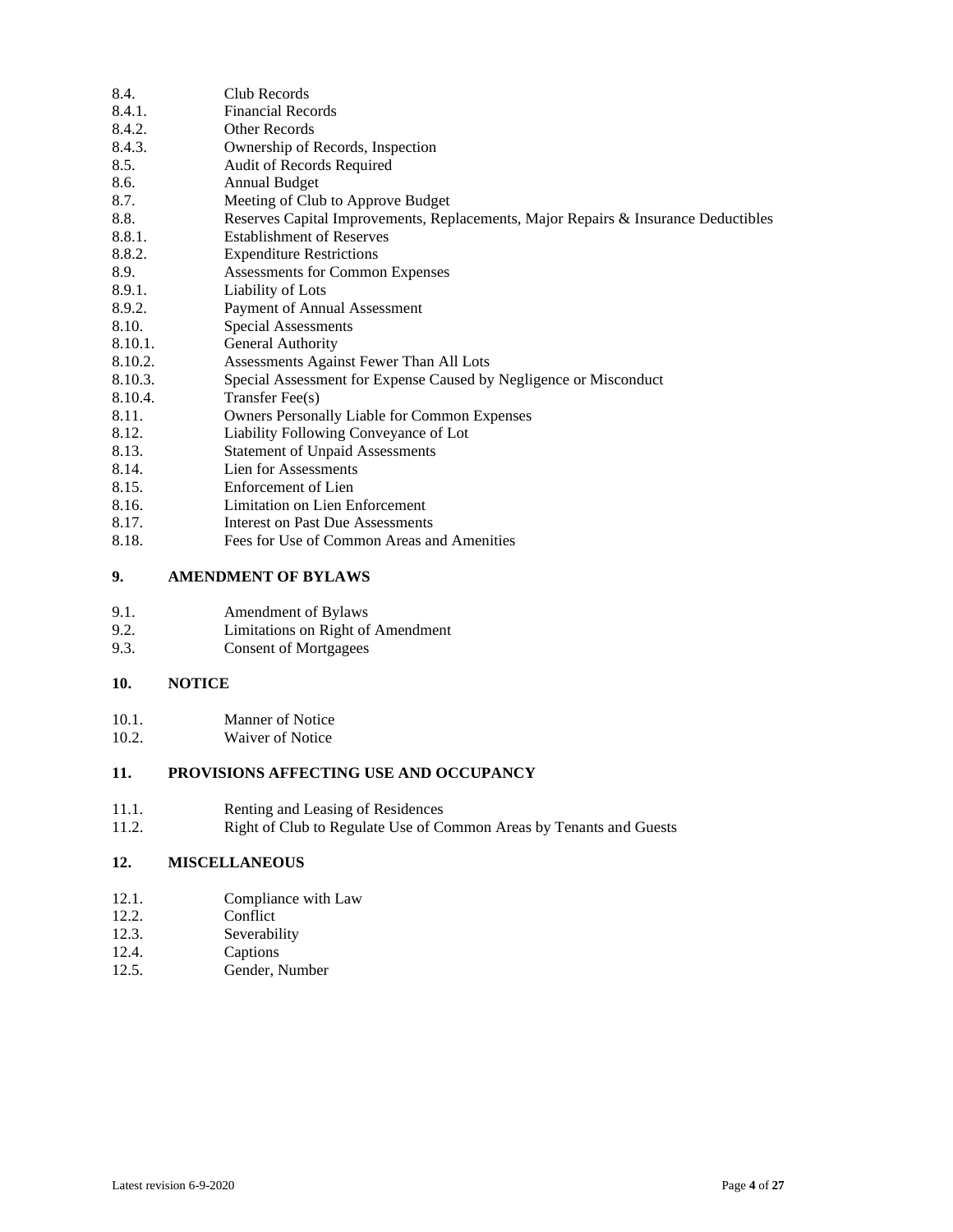| 8.4.    | Club Records                                                                       |
|---------|------------------------------------------------------------------------------------|
| 8.4.1.  | <b>Financial Records</b>                                                           |
| 8.4.2.  | Other Records                                                                      |
| 8.4.3.  | Ownership of Records, Inspection                                                   |
| 8.5.    | Audit of Records Required                                                          |
| 8.6.    | <b>Annual Budget</b>                                                               |
| 8.7.    | Meeting of Club to Approve Budget                                                  |
| 8.8.    | Reserves Capital Improvements, Replacements, Major Repairs & Insurance Deductibles |
| 8.8.1.  | <b>Establishment of Reserves</b>                                                   |
| 8.8.2.  | <b>Expenditure Restrictions</b>                                                    |
| 8.9.    | Assessments for Common Expenses                                                    |
| 8.9.1.  | Liability of Lots                                                                  |
| 8.9.2.  | Payment of Annual Assessment                                                       |
| 8.10.   | <b>Special Assessments</b>                                                         |
| 8.10.1. | General Authority                                                                  |
| 8.10.2. | Assessments Against Fewer Than All Lots                                            |
| 8.10.3. | Special Assessment for Expense Caused by Negligence or Misconduct                  |
| 8.10.4. | Transfer Fee(s)                                                                    |
| 8.11.   | <b>Owners Personally Liable for Common Expenses</b>                                |
| 8.12.   | Liability Following Conveyance of Lot                                              |
| 8.13.   | <b>Statement of Unpaid Assessments</b>                                             |
| 8.14.   | Lien for Assessments                                                               |
| 8.15.   | Enforcement of Lien                                                                |
| 8.16.   | Limitation on Lien Enforcement                                                     |
| 8.17.   | Interest on Past Due Assessments                                                   |
|         |                                                                                    |

8.18. Fees for Use of Common Areas and Amenities

# **9. AMENDMENT OF BYLAWS**

| 9.1. | Amendment of Bylaws |
|------|---------------------|
|      |                     |

9.3. Consent of Mortgagees

# **10. NOTICE**

| 10.1. | <b>Manner of Notice</b> |
|-------|-------------------------|
|       |                         |

10.2. Waiver of Notice

# **11. PROVISIONS AFFECTING USE AND OCCUPANCY**

- 11.1. Renting and Leasing of Residences
- 11.2. Right of Club to Regulate Use of Common Areas by Tenants and Guests

# **12. MISCELLANEOUS**

- 12.1. Compliance with Law<br>12.2. Conflict
- 12.2. Conflict<br>12.3. Severabil
- 12.3. Severability<br>12.4. Captions
- Captions
- 12.5. Gender, Number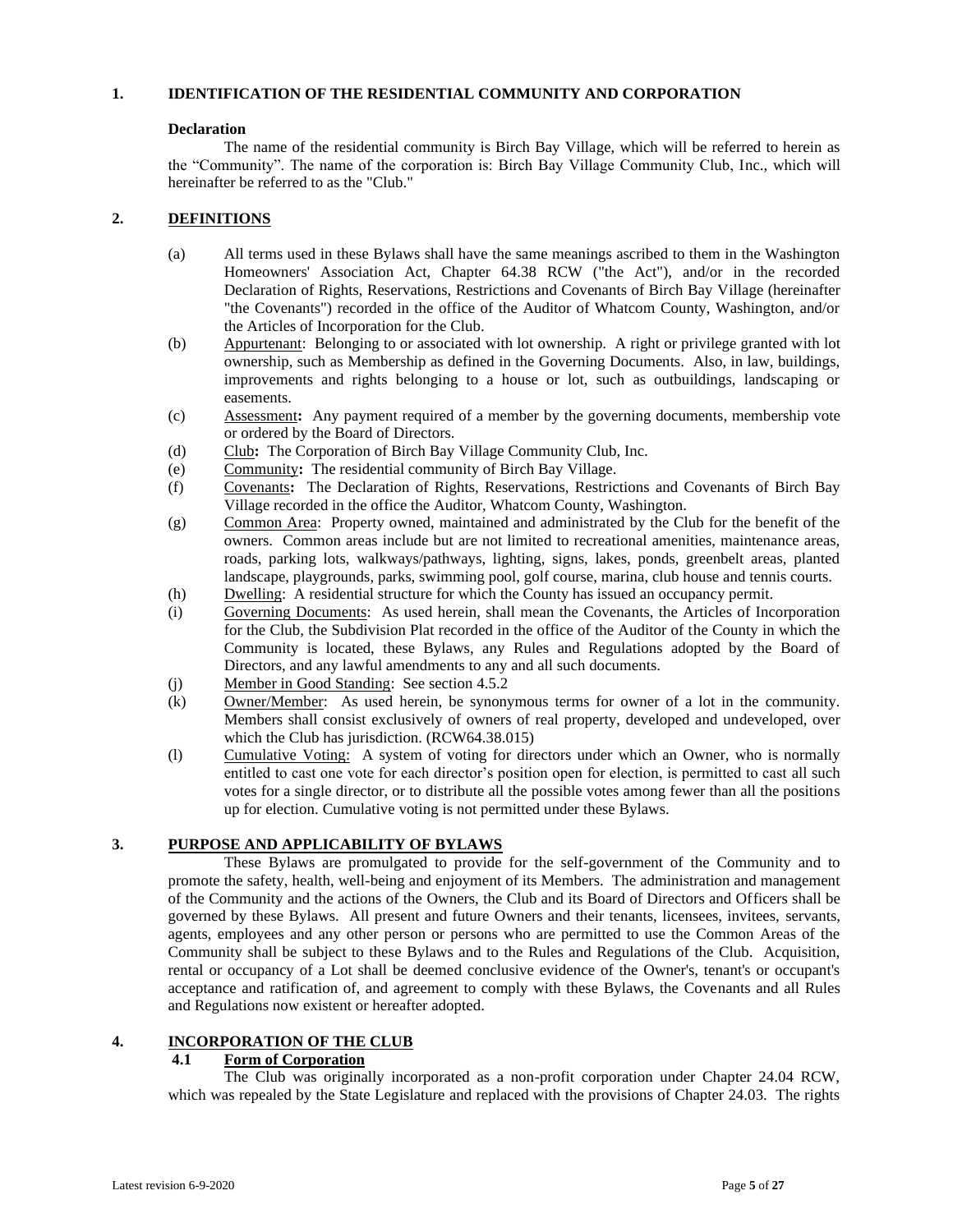# **1. IDENTIFICATION OF THE RESIDENTIAL COMMUNITY AND CORPORATION**

#### **Declaration**

The name of the residential community is Birch Bay Village, which will be referred to herein as the "Community". The name of the corporation is: Birch Bay Village Community Club, Inc., which will hereinafter be referred to as the "Club."

# **2. DEFINITIONS**

- (a) All terms used in these Bylaws shall have the same meanings ascribed to them in the Washington Homeowners' Association Act, Chapter 64.38 RCW ("the Act"), and/or in the recorded Declaration of Rights, Reservations, Restrictions and Covenants of Birch Bay Village (hereinafter "the Covenants") recorded in the office of the Auditor of Whatcom County, Washington, and/or the Articles of Incorporation for the Club.
- (b) Appurtenant: Belonging to or associated with lot ownership. A right or privilege granted with lot ownership, such as Membership as defined in the Governing Documents. Also, in law, buildings, improvements and rights belonging to a house or lot, such as outbuildings, landscaping or easements.
- (c) Assessment**:** Any payment required of a member by the governing documents, membership vote or ordered by the Board of Directors.
- (d) Club**:** The Corporation of Birch Bay Village Community Club, Inc.
- (e) Community**:** The residential community of Birch Bay Village.
- (f) Covenants**:** The Declaration of Rights, Reservations, Restrictions and Covenants of Birch Bay Village recorded in the office the Auditor, Whatcom County, Washington.
- (g) Common Area: Property owned, maintained and administrated by the Club for the benefit of the owners. Common areas include but are not limited to recreational amenities, maintenance areas, roads, parking lots, walkways/pathways, lighting, signs, lakes, ponds, greenbelt areas, planted landscape, playgrounds, parks, swimming pool, golf course, marina, club house and tennis courts.
- (h) Dwelling: A residential structure for which the County has issued an occupancy permit.
- (i) Governing Documents: As used herein, shall mean the Covenants, the Articles of Incorporation for the Club, the Subdivision Plat recorded in the office of the Auditor of the County in which the Community is located, these Bylaws, any Rules and Regulations adopted by the Board of Directors, and any lawful amendments to any and all such documents.
- (j) Member in Good Standing: See section 4.5.2
- (k) Owner/Member: As used herein, be synonymous terms for owner of a lot in the community. Members shall consist exclusively of owners of real property, developed and undeveloped, over which the Club has jurisdiction. (RCW64.38.015)
- (l) Cumulative Voting: A system of voting for directors under which an Owner, who is normally entitled to cast one vote for each director's position open for election, is permitted to cast all such votes for a single director, or to distribute all the possible votes among fewer than all the positions up for election. Cumulative voting is not permitted under these Bylaws.

# **3. PURPOSE AND APPLICABILITY OF BYLAWS**

These Bylaws are promulgated to provide for the self-government of the Community and to promote the safety, health, well-being and enjoyment of its Members. The administration and management of the Community and the actions of the Owners, the Club and its Board of Directors and Officers shall be governed by these Bylaws. All present and future Owners and their tenants, licensees, invitees, servants, agents, employees and any other person or persons who are permitted to use the Common Areas of the Community shall be subject to these Bylaws and to the Rules and Regulations of the Club. Acquisition, rental or occupancy of a Lot shall be deemed conclusive evidence of the Owner's, tenant's or occupant's acceptance and ratification of, and agreement to comply with these Bylaws, the Covenants and all Rules and Regulations now existent or hereafter adopted.

# **4. INCORPORATION OF THE CLUB**

# **4.1 Form of Corporation**

The Club was originally incorporated as a non-profit corporation under Chapter 24.04 RCW, which was repealed by the State Legislature and replaced with the provisions of Chapter 24.03. The rights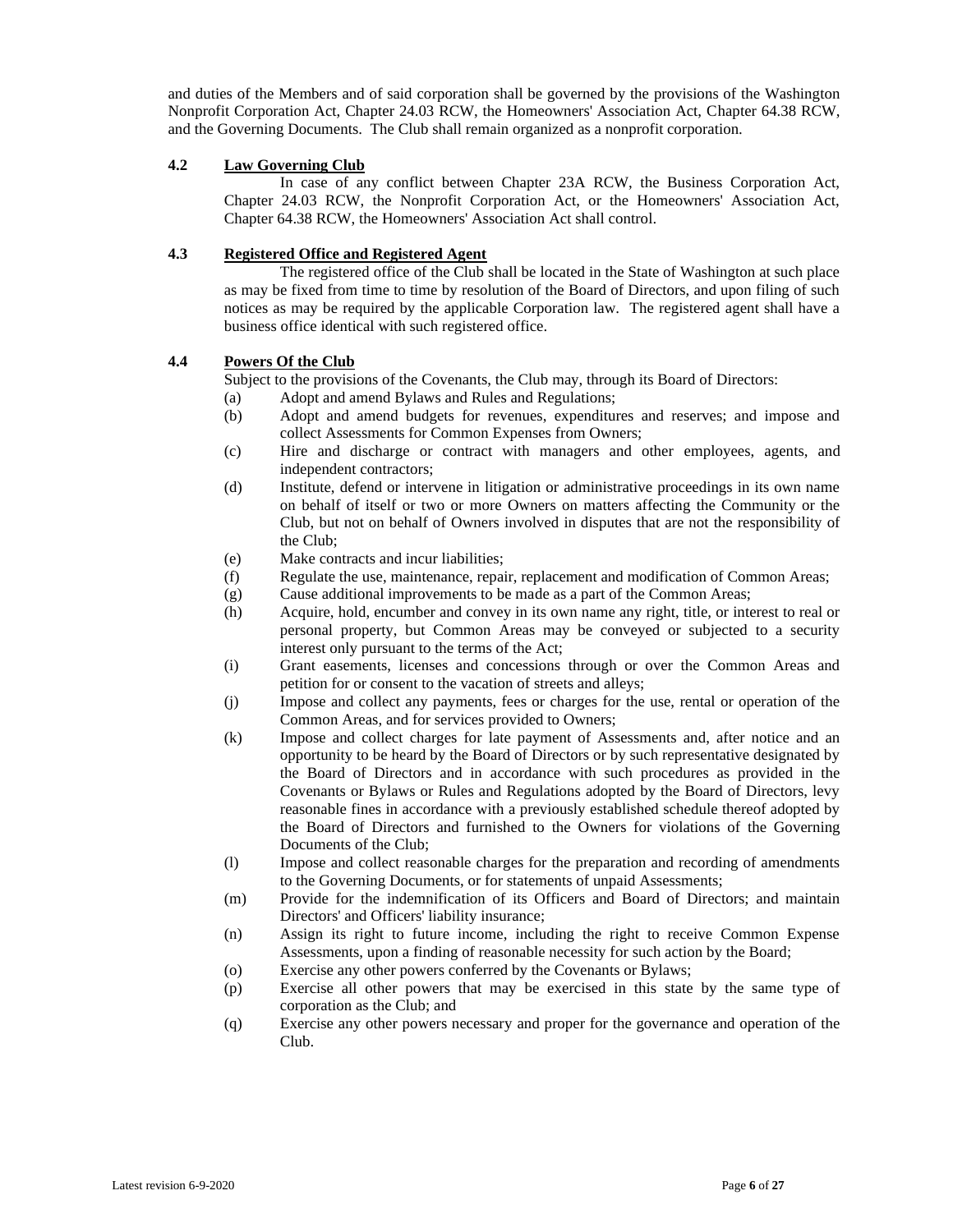and duties of the Members and of said corporation shall be governed by the provisions of the Washington Nonprofit Corporation Act, Chapter 24.03 RCW, the Homeowners' Association Act, Chapter 64.38 RCW, and the Governing Documents. The Club shall remain organized as a nonprofit corporation.

# **4.2 Law Governing Club**

In case of any conflict between Chapter 23A RCW, the Business Corporation Act, Chapter 24.03 RCW, the Nonprofit Corporation Act, or the Homeowners' Association Act, Chapter 64.38 RCW, the Homeowners' Association Act shall control.

# **4.3 Registered Office and Registered Agent**

The registered office of the Club shall be located in the State of Washington at such place as may be fixed from time to time by resolution of the Board of Directors, and upon filing of such notices as may be required by the applicable Corporation law. The registered agent shall have a business office identical with such registered office.

# **4.4 Powers Of the Club**

Subject to the provisions of the Covenants, the Club may, through its Board of Directors:

- (a) Adopt and amend Bylaws and Rules and Regulations;
- (b) Adopt and amend budgets for revenues, expenditures and reserves; and impose and collect Assessments for Common Expenses from Owners;
- (c) Hire and discharge or contract with managers and other employees, agents, and independent contractors;
- (d) Institute, defend or intervene in litigation or administrative proceedings in its own name on behalf of itself or two or more Owners on matters affecting the Community or the Club, but not on behalf of Owners involved in disputes that are not the responsibility of the Club;
- (e) Make contracts and incur liabilities;
- (f) Regulate the use, maintenance, repair, replacement and modification of Common Areas;
- (g) Cause additional improvements to be made as a part of the Common Areas;
- (h) Acquire, hold, encumber and convey in its own name any right, title, or interest to real or personal property, but Common Areas may be conveyed or subjected to a security interest only pursuant to the terms of the Act;
- (i) Grant easements, licenses and concessions through or over the Common Areas and petition for or consent to the vacation of streets and alleys;
- (j) Impose and collect any payments, fees or charges for the use, rental or operation of the Common Areas, and for services provided to Owners;
- (k) Impose and collect charges for late payment of Assessments and, after notice and an opportunity to be heard by the Board of Directors or by such representative designated by the Board of Directors and in accordance with such procedures as provided in the Covenants or Bylaws or Rules and Regulations adopted by the Board of Directors, levy reasonable fines in accordance with a previously established schedule thereof adopted by the Board of Directors and furnished to the Owners for violations of the Governing Documents of the Club;
- (l) Impose and collect reasonable charges for the preparation and recording of amendments to the Governing Documents, or for statements of unpaid Assessments;
- (m) Provide for the indemnification of its Officers and Board of Directors; and maintain Directors' and Officers' liability insurance;
- (n) Assign its right to future income, including the right to receive Common Expense Assessments, upon a finding of reasonable necessity for such action by the Board;
- (o) Exercise any other powers conferred by the Covenants or Bylaws;
- (p) Exercise all other powers that may be exercised in this state by the same type of corporation as the Club; and
- (q) Exercise any other powers necessary and proper for the governance and operation of the Club.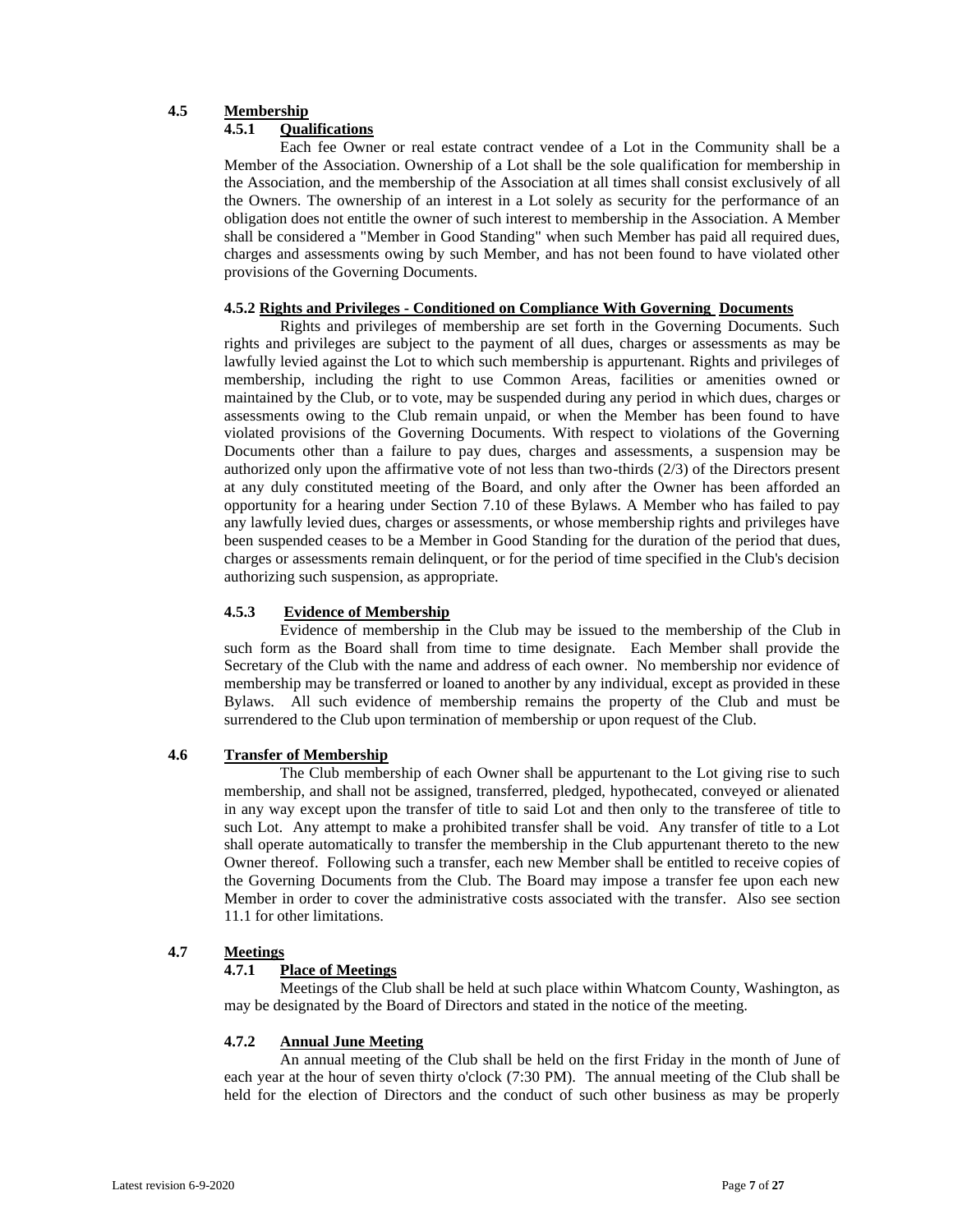# **4.5 Membership**

# **4.5.1 Qualifications**

Each fee Owner or real estate contract vendee of a Lot in the Community shall be a Member of the Association. Ownership of a Lot shall be the sole qualification for membership in the Association, and the membership of the Association at all times shall consist exclusively of all the Owners. The ownership of an interest in a Lot solely as security for the performance of an obligation does not entitle the owner of such interest to membership in the Association. A Member shall be considered a "Member in Good Standing" when such Member has paid all required dues, charges and assessments owing by such Member, and has not been found to have violated other provisions of the Governing Documents.

# **4.5.2 Rights and Privileges - Conditioned on Compliance With Governing Documents**

Rights and privileges of membership are set forth in the Governing Documents. Such rights and privileges are subject to the payment of all dues, charges or assessments as may be lawfully levied against the Lot to which such membership is appurtenant. Rights and privileges of membership, including the right to use Common Areas, facilities or amenities owned or maintained by the Club, or to vote, may be suspended during any period in which dues, charges or assessments owing to the Club remain unpaid, or when the Member has been found to have violated provisions of the Governing Documents. With respect to violations of the Governing Documents other than a failure to pay dues, charges and assessments, a suspension may be authorized only upon the affirmative vote of not less than two-thirds (2/3) of the Directors present at any duly constituted meeting of the Board, and only after the Owner has been afforded an opportunity for a hearing under Section 7.10 of these Bylaws. A Member who has failed to pay any lawfully levied dues, charges or assessments, or whose membership rights and privileges have been suspended ceases to be a Member in Good Standing for the duration of the period that dues, charges or assessments remain delinquent, or for the period of time specified in the Club's decision authorizing such suspension, as appropriate.

# **4.5.3 Evidence of Membership**

Evidence of membership in the Club may be issued to the membership of the Club in such form as the Board shall from time to time designate. Each Member shall provide the Secretary of the Club with the name and address of each owner. No membership nor evidence of membership may be transferred or loaned to another by any individual, except as provided in these Bylaws. All such evidence of membership remains the property of the Club and must be surrendered to the Club upon termination of membership or upon request of the Club.

# **4.6 Transfer of Membership**

The Club membership of each Owner shall be appurtenant to the Lot giving rise to such membership, and shall not be assigned, transferred, pledged, hypothecated, conveyed or alienated in any way except upon the transfer of title to said Lot and then only to the transferee of title to such Lot. Any attempt to make a prohibited transfer shall be void. Any transfer of title to a Lot shall operate automatically to transfer the membership in the Club appurtenant thereto to the new Owner thereof. Following such a transfer, each new Member shall be entitled to receive copies of the Governing Documents from the Club. The Board may impose a transfer fee upon each new Member in order to cover the administrative costs associated with the transfer. Also see section 11.1 for other limitations.

# **4.7 Meetings**

# **4.7.1 Place of Meetings**

Meetings of the Club shall be held at such place within Whatcom County, Washington, as may be designated by the Board of Directors and stated in the notice of the meeting.

# **4.7.2 Annual June Meeting**

An annual meeting of the Club shall be held on the first Friday in the month of June of each year at the hour of seven thirty o'clock (7:30 PM). The annual meeting of the Club shall be held for the election of Directors and the conduct of such other business as may be properly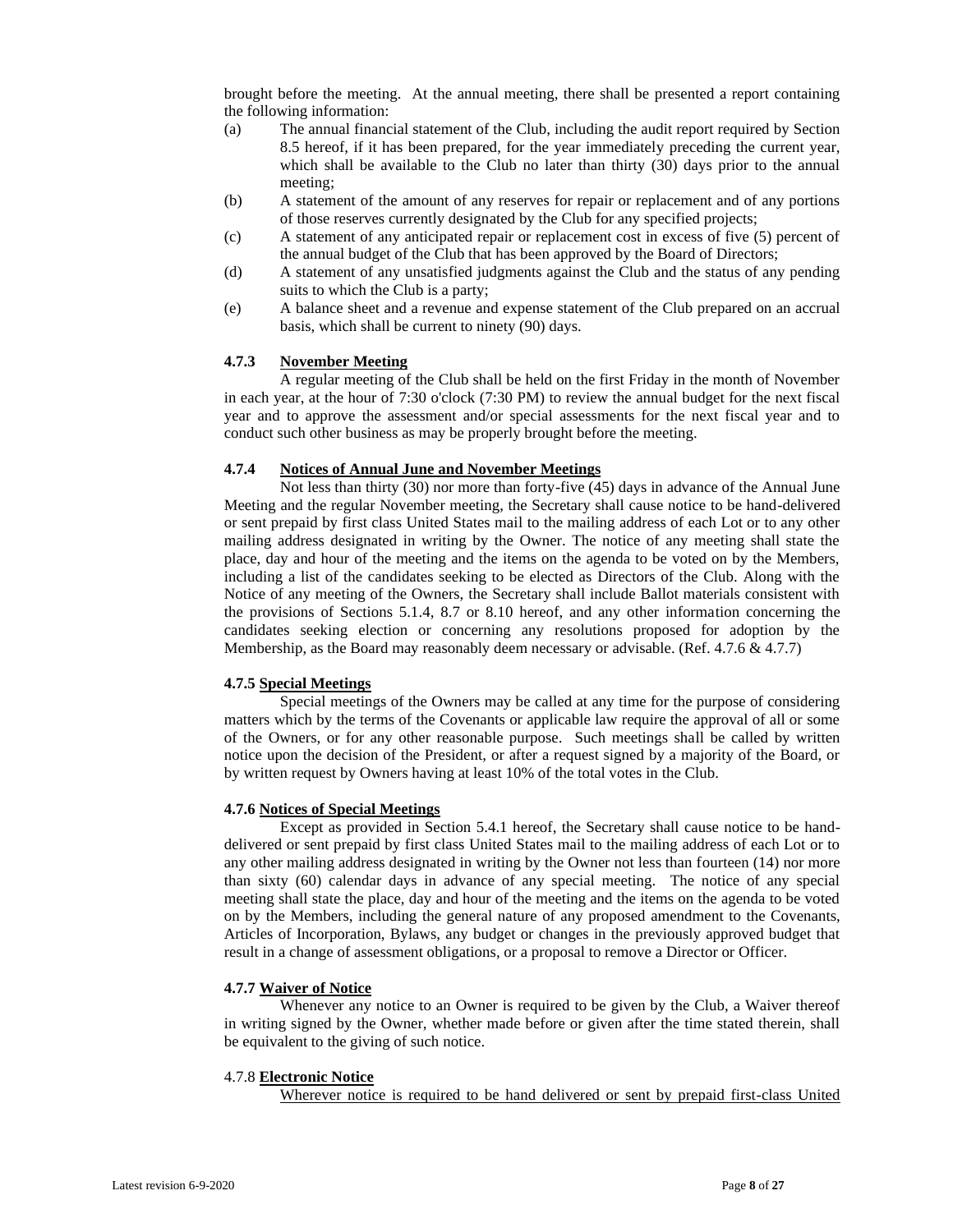brought before the meeting. At the annual meeting, there shall be presented a report containing the following information:

- (a) The annual financial statement of the Club, including the audit report required by Section 8.5 hereof, if it has been prepared, for the year immediately preceding the current year, which shall be available to the Club no later than thirty (30) days prior to the annual meeting;
- (b) A statement of the amount of any reserves for repair or replacement and of any portions of those reserves currently designated by the Club for any specified projects;
- (c) A statement of any anticipated repair or replacement cost in excess of five (5) percent of the annual budget of the Club that has been approved by the Board of Directors;
- (d) A statement of any unsatisfied judgments against the Club and the status of any pending suits to which the Club is a party;
- (e) A balance sheet and a revenue and expense statement of the Club prepared on an accrual basis, which shall be current to ninety (90) days.

# **4.7.3 November Meeting**

A regular meeting of the Club shall be held on the first Friday in the month of November in each year, at the hour of 7:30 o'clock (7:30 PM) to review the annual budget for the next fiscal year and to approve the assessment and/or special assessments for the next fiscal year and to conduct such other business as may be properly brought before the meeting.

#### **4.7.4 Notices of Annual June and November Meetings**

Not less than thirty (30) nor more than forty-five (45) days in advance of the Annual June Meeting and the regular November meeting, the Secretary shall cause notice to be hand-delivered or sent prepaid by first class United States mail to the mailing address of each Lot or to any other mailing address designated in writing by the Owner. The notice of any meeting shall state the place, day and hour of the meeting and the items on the agenda to be voted on by the Members, including a list of the candidates seeking to be elected as Directors of the Club. Along with the Notice of any meeting of the Owners, the Secretary shall include Ballot materials consistent with the provisions of Sections 5.1.4, 8.7 or 8.10 hereof, and any other information concerning the candidates seeking election or concerning any resolutions proposed for adoption by the Membership, as the Board may reasonably deem necessary or advisable. (Ref. 4.7.6 & 4.7.7)

#### **4.7.5 Special Meetings**

Special meetings of the Owners may be called at any time for the purpose of considering matters which by the terms of the Covenants or applicable law require the approval of all or some of the Owners, or for any other reasonable purpose. Such meetings shall be called by written notice upon the decision of the President, or after a request signed by a majority of the Board, or by written request by Owners having at least 10% of the total votes in the Club.

#### **4.7.6 Notices of Special Meetings**

Except as provided in Section 5.4.1 hereof, the Secretary shall cause notice to be handdelivered or sent prepaid by first class United States mail to the mailing address of each Lot or to any other mailing address designated in writing by the Owner not less than fourteen (14) nor more than sixty (60) calendar days in advance of any special meeting. The notice of any special meeting shall state the place, day and hour of the meeting and the items on the agenda to be voted on by the Members, including the general nature of any proposed amendment to the Covenants, Articles of Incorporation, Bylaws, any budget or changes in the previously approved budget that result in a change of assessment obligations, or a proposal to remove a Director or Officer.

#### **4.7.7 Waiver of Notice**

Whenever any notice to an Owner is required to be given by the Club, a Waiver thereof in writing signed by the Owner, whether made before or given after the time stated therein, shall be equivalent to the giving of such notice.

### 4.7.8 **Electronic Notice**

Wherever notice is required to be hand delivered or sent by prepaid first-class United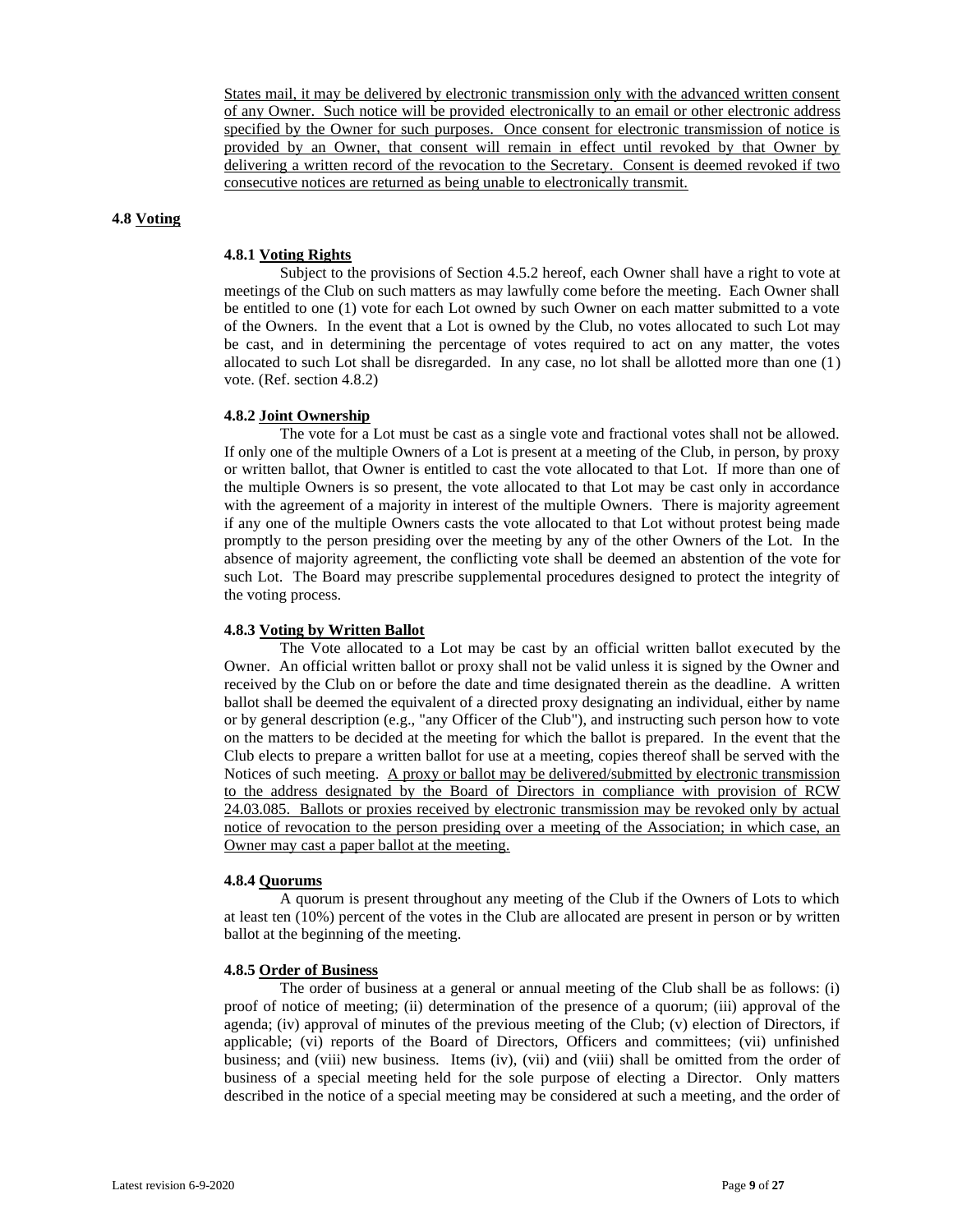States mail, it may be delivered by electronic transmission only with the advanced written consent of any Owner. Such notice will be provided electronically to an email or other electronic address specified by the Owner for such purposes. Once consent for electronic transmission of notice is provided by an Owner, that consent will remain in effect until revoked by that Owner by delivering a written record of the revocation to the Secretary. Consent is deemed revoked if two consecutive notices are returned as being unable to electronically transmit.

#### **4.8 Voting**

#### **4.8.1 Voting Rights**

Subject to the provisions of Section 4.5.2 hereof, each Owner shall have a right to vote at meetings of the Club on such matters as may lawfully come before the meeting. Each Owner shall be entitled to one (1) vote for each Lot owned by such Owner on each matter submitted to a vote of the Owners. In the event that a Lot is owned by the Club, no votes allocated to such Lot may be cast, and in determining the percentage of votes required to act on any matter, the votes allocated to such Lot shall be disregarded. In any case, no lot shall be allotted more than one (1) vote. (Ref. section 4.8.2)

#### **4.8.2 Joint Ownership**

The vote for a Lot must be cast as a single vote and fractional votes shall not be allowed. If only one of the multiple Owners of a Lot is present at a meeting of the Club, in person, by proxy or written ballot, that Owner is entitled to cast the vote allocated to that Lot. If more than one of the multiple Owners is so present, the vote allocated to that Lot may be cast only in accordance with the agreement of a majority in interest of the multiple Owners. There is majority agreement if any one of the multiple Owners casts the vote allocated to that Lot without protest being made promptly to the person presiding over the meeting by any of the other Owners of the Lot. In the absence of majority agreement, the conflicting vote shall be deemed an abstention of the vote for such Lot. The Board may prescribe supplemental procedures designed to protect the integrity of the voting process.

#### **4.8.3 Voting by Written Ballot**

The Vote allocated to a Lot may be cast by an official written ballot executed by the Owner. An official written ballot or proxy shall not be valid unless it is signed by the Owner and received by the Club on or before the date and time designated therein as the deadline. A written ballot shall be deemed the equivalent of a directed proxy designating an individual, either by name or by general description (e.g., "any Officer of the Club"), and instructing such person how to vote on the matters to be decided at the meeting for which the ballot is prepared. In the event that the Club elects to prepare a written ballot for use at a meeting, copies thereof shall be served with the Notices of such meeting. A proxy or ballot may be delivered/submitted by electronic transmission to the address designated by the Board of Directors in compliance with provision of RCW 24.03.085. Ballots or proxies received by electronic transmission may be revoked only by actual notice of revocation to the person presiding over a meeting of the Association; in which case, an Owner may cast a paper ballot at the meeting.

# **4.8.4 Quorums**

A quorum is present throughout any meeting of the Club if the Owners of Lots to which at least ten (10%) percent of the votes in the Club are allocated are present in person or by written ballot at the beginning of the meeting.

#### **4.8.5 Order of Business**

The order of business at a general or annual meeting of the Club shall be as follows: (i) proof of notice of meeting; (ii) determination of the presence of a quorum; (iii) approval of the agenda; (iv) approval of minutes of the previous meeting of the Club; (v) election of Directors, if applicable; (vi) reports of the Board of Directors, Officers and committees; (vii) unfinished business; and (viii) new business. Items (iv), (vii) and (viii) shall be omitted from the order of business of a special meeting held for the sole purpose of electing a Director. Only matters described in the notice of a special meeting may be considered at such a meeting, and the order of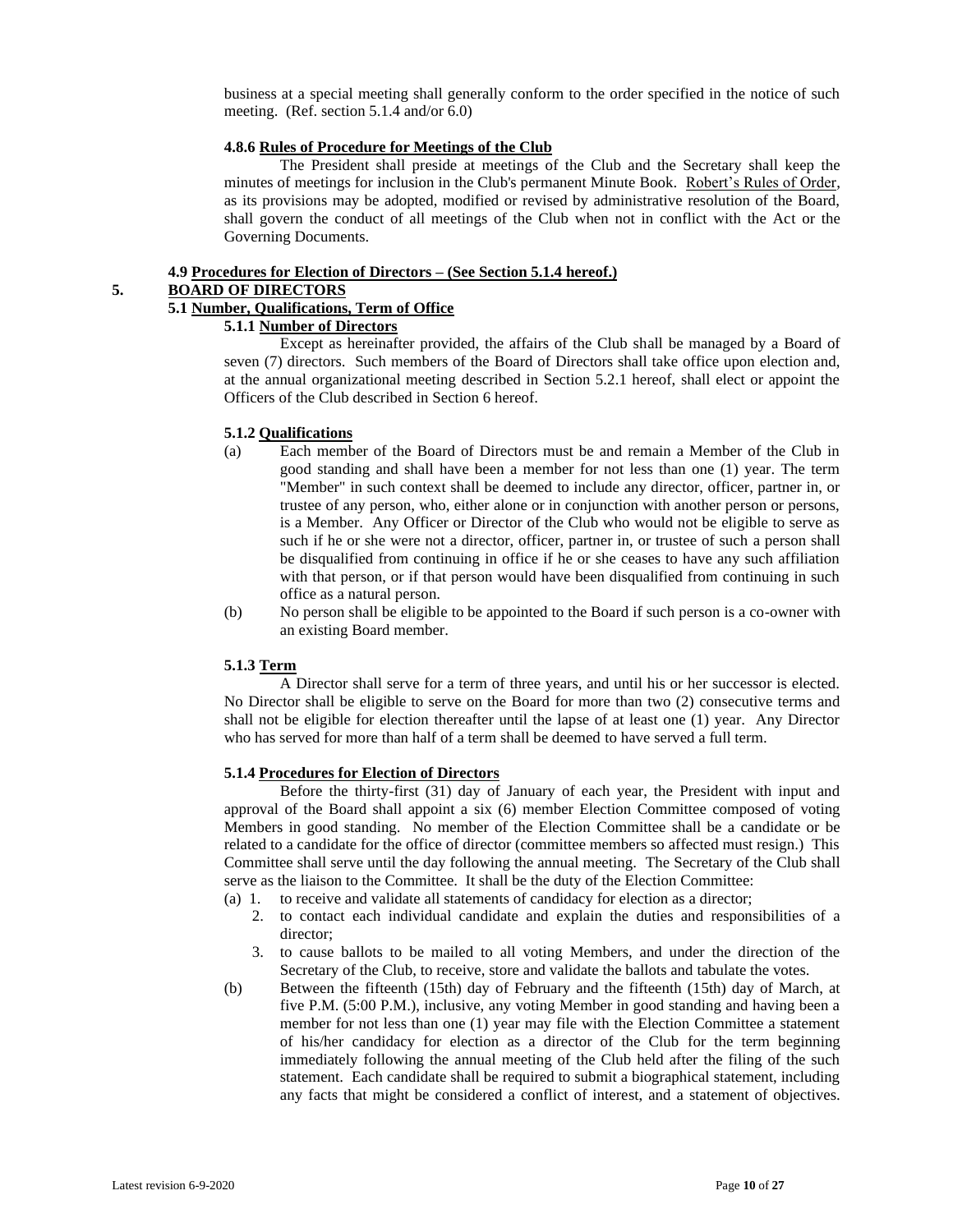business at a special meeting shall generally conform to the order specified in the notice of such meeting. (Ref. section 5.1.4 and/or 6.0)

#### **4.8.6 Rules of Procedure for Meetings of the Club**

The President shall preside at meetings of the Club and the Secretary shall keep the minutes of meetings for inclusion in the Club's permanent Minute Book. Robert's Rules of Order, as its provisions may be adopted, modified or revised by administrative resolution of the Board, shall govern the conduct of all meetings of the Club when not in conflict with the Act or the Governing Documents.

# **4.9 Procedures for Election of Directors – (See Section 5.1.4 hereof.)**

# **5. BOARD OF DIRECTORS**

# **5.1 Number, Qualifications, Term of Office**

# **5.1.1 Number of Directors**

Except as hereinafter provided, the affairs of the Club shall be managed by a Board of seven (7) directors. Such members of the Board of Directors shall take office upon election and, at the annual organizational meeting described in Section 5.2.1 hereof, shall elect or appoint the Officers of the Club described in Section 6 hereof.

# **5.1.2 Qualifications**

- (a) Each member of the Board of Directors must be and remain a Member of the Club in good standing and shall have been a member for not less than one (1) year. The term "Member" in such context shall be deemed to include any director, officer, partner in, or trustee of any person, who, either alone or in conjunction with another person or persons, is a Member. Any Officer or Director of the Club who would not be eligible to serve as such if he or she were not a director, officer, partner in, or trustee of such a person shall be disqualified from continuing in office if he or she ceases to have any such affiliation with that person, or if that person would have been disqualified from continuing in such office as a natural person.
- (b) No person shall be eligible to be appointed to the Board if such person is a co-owner with an existing Board member.

# **5.1.3 Term**

A Director shall serve for a term of three years, and until his or her successor is elected. No Director shall be eligible to serve on the Board for more than two (2) consecutive terms and shall not be eligible for election thereafter until the lapse of at least one (1) year. Any Director who has served for more than half of a term shall be deemed to have served a full term.

# **5.1.4 Procedures for Election of Directors**

Before the thirty-first (31) day of January of each year, the President with input and approval of the Board shall appoint a six (6) member Election Committee composed of voting Members in good standing. No member of the Election Committee shall be a candidate or be related to a candidate for the office of director (committee members so affected must resign.) This Committee shall serve until the day following the annual meeting. The Secretary of the Club shall serve as the liaison to the Committee. It shall be the duty of the Election Committee:

- (a) 1. to receive and validate all statements of candidacy for election as a director;
	- 2. to contact each individual candidate and explain the duties and responsibilities of a director;
	- 3. to cause ballots to be mailed to all voting Members, and under the direction of the Secretary of the Club, to receive, store and validate the ballots and tabulate the votes.
- (b) Between the fifteenth (15th) day of February and the fifteenth (15th) day of March, at five P.M. (5:00 P.M.), inclusive, any voting Member in good standing and having been a member for not less than one (1) year may file with the Election Committee a statement of his/her candidacy for election as a director of the Club for the term beginning immediately following the annual meeting of the Club held after the filing of the such statement. Each candidate shall be required to submit a biographical statement, including any facts that might be considered a conflict of interest, and a statement of objectives.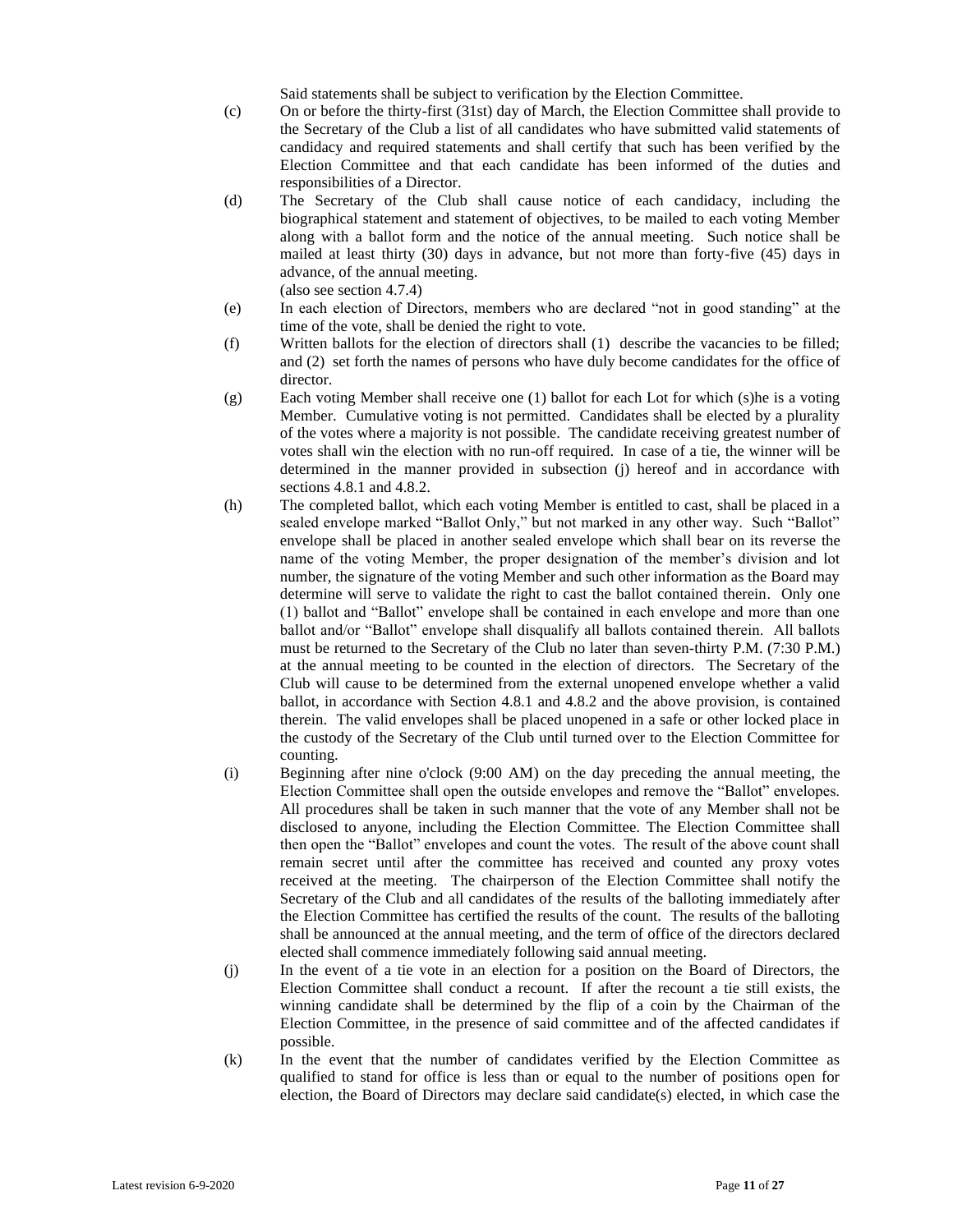Said statements shall be subject to verification by the Election Committee.

- (c) On or before the thirty-first (31st) day of March, the Election Committee shall provide to the Secretary of the Club a list of all candidates who have submitted valid statements of candidacy and required statements and shall certify that such has been verified by the Election Committee and that each candidate has been informed of the duties and responsibilities of a Director.
- (d) The Secretary of the Club shall cause notice of each candidacy, including the biographical statement and statement of objectives, to be mailed to each voting Member along with a ballot form and the notice of the annual meeting. Such notice shall be mailed at least thirty (30) days in advance, but not more than forty-five (45) days in advance, of the annual meeting. (also see section 4.7.4)
- (e) In each election of Directors, members who are declared "not in good standing" at the time of the vote, shall be denied the right to vote.
- (f) Written ballots for the election of directors shall (1) describe the vacancies to be filled; and (2) set forth the names of persons who have duly become candidates for the office of director.
- (g) Each voting Member shall receive one (1) ballot for each Lot for which (s)he is a voting Member. Cumulative voting is not permitted. Candidates shall be elected by a plurality of the votes where a majority is not possible. The candidate receiving greatest number of votes shall win the election with no run-off required. In case of a tie, the winner will be determined in the manner provided in subsection (j) hereof and in accordance with sections 4.8.1 and 4.8.2.
- (h) The completed ballot, which each voting Member is entitled to cast, shall be placed in a sealed envelope marked "Ballot Only," but not marked in any other way. Such "Ballot" envelope shall be placed in another sealed envelope which shall bear on its reverse the name of the voting Member, the proper designation of the member's division and lot number, the signature of the voting Member and such other information as the Board may determine will serve to validate the right to cast the ballot contained therein. Only one (1) ballot and "Ballot" envelope shall be contained in each envelope and more than one ballot and/or "Ballot" envelope shall disqualify all ballots contained therein. All ballots must be returned to the Secretary of the Club no later than seven-thirty P.M. (7:30 P.M.) at the annual meeting to be counted in the election of directors. The Secretary of the Club will cause to be determined from the external unopened envelope whether a valid ballot, in accordance with Section 4.8.1 and 4.8.2 and the above provision, is contained therein. The valid envelopes shall be placed unopened in a safe or other locked place in the custody of the Secretary of the Club until turned over to the Election Committee for counting.
- (i) Beginning after nine o'clock (9:00 AM) on the day preceding the annual meeting, the Election Committee shall open the outside envelopes and remove the "Ballot" envelopes. All procedures shall be taken in such manner that the vote of any Member shall not be disclosed to anyone, including the Election Committee. The Election Committee shall then open the "Ballot" envelopes and count the votes. The result of the above count shall remain secret until after the committee has received and counted any proxy votes received at the meeting. The chairperson of the Election Committee shall notify the Secretary of the Club and all candidates of the results of the balloting immediately after the Election Committee has certified the results of the count. The results of the balloting shall be announced at the annual meeting, and the term of office of the directors declared elected shall commence immediately following said annual meeting.
- (j) In the event of a tie vote in an election for a position on the Board of Directors, the Election Committee shall conduct a recount. If after the recount a tie still exists, the winning candidate shall be determined by the flip of a coin by the Chairman of the Election Committee, in the presence of said committee and of the affected candidates if possible.
- (k) In the event that the number of candidates verified by the Election Committee as qualified to stand for office is less than or equal to the number of positions open for election, the Board of Directors may declare said candidate(s) elected, in which case the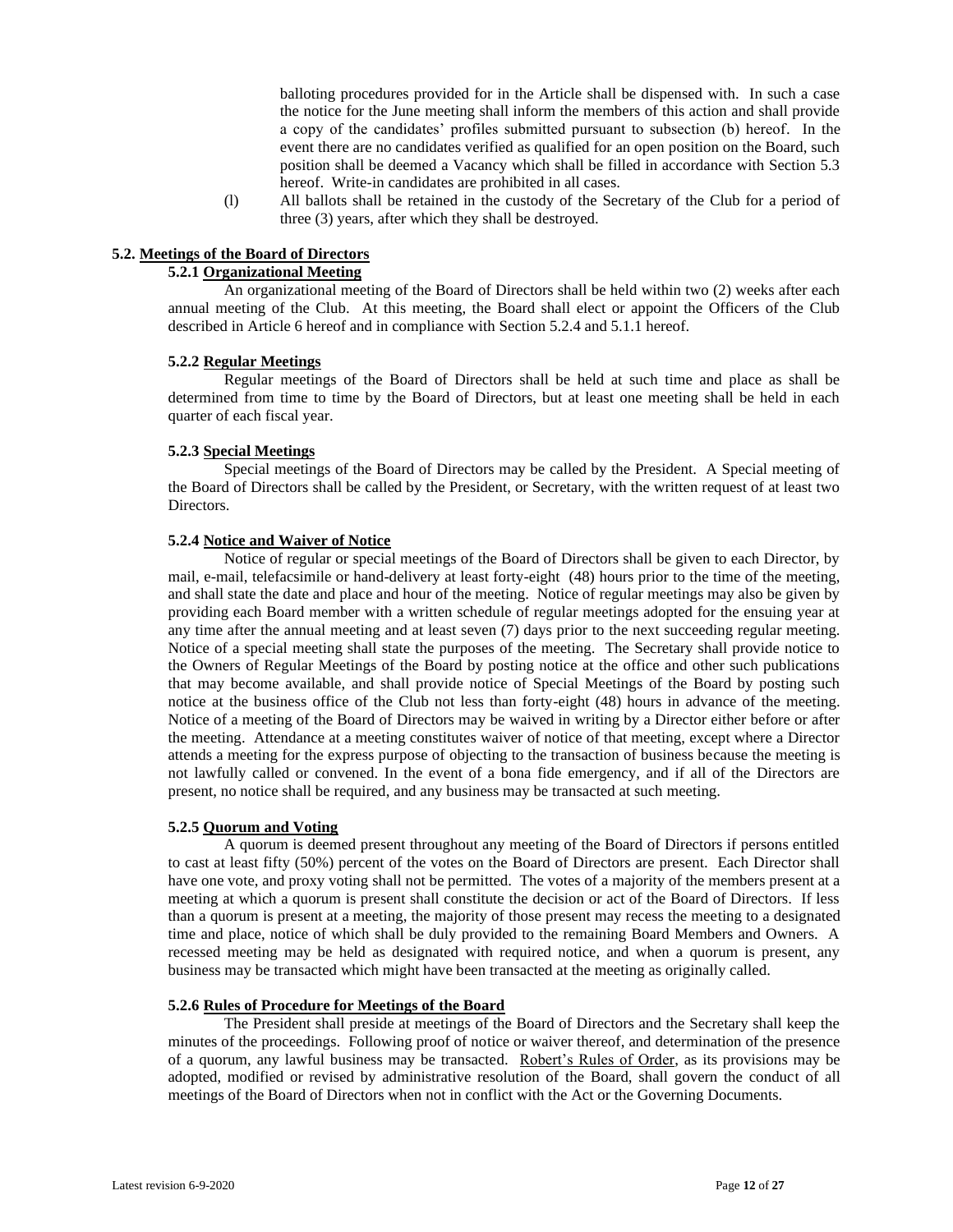balloting procedures provided for in the Article shall be dispensed with. In such a case the notice for the June meeting shall inform the members of this action and shall provide a copy of the candidates' profiles submitted pursuant to subsection (b) hereof. In the event there are no candidates verified as qualified for an open position on the Board, such position shall be deemed a Vacancy which shall be filled in accordance with Section 5.3 hereof. Write-in candidates are prohibited in all cases.

(l) All ballots shall be retained in the custody of the Secretary of the Club for a period of three (3) years, after which they shall be destroyed.

#### **5.2. Meetings of the Board of Directors**

# **5.2.1 Organizational Meeting**

An organizational meeting of the Board of Directors shall be held within two (2) weeks after each annual meeting of the Club. At this meeting, the Board shall elect or appoint the Officers of the Club described in Article 6 hereof and in compliance with Section 5.2.4 and 5.1.1 hereof.

#### **5.2.2 Regular Meetings**

Regular meetings of the Board of Directors shall be held at such time and place as shall be determined from time to time by the Board of Directors, but at least one meeting shall be held in each quarter of each fiscal year.

#### **5.2.3 Special Meetings**

Special meetings of the Board of Directors may be called by the President. A Special meeting of the Board of Directors shall be called by the President, or Secretary, with the written request of at least two Directors.

# **5.2.4 Notice and Waiver of Notice**

Notice of regular or special meetings of the Board of Directors shall be given to each Director, by mail, e-mail, telefacsimile or hand-delivery at least forty-eight (48) hours prior to the time of the meeting, and shall state the date and place and hour of the meeting. Notice of regular meetings may also be given by providing each Board member with a written schedule of regular meetings adopted for the ensuing year at any time after the annual meeting and at least seven (7) days prior to the next succeeding regular meeting. Notice of a special meeting shall state the purposes of the meeting. The Secretary shall provide notice to the Owners of Regular Meetings of the Board by posting notice at the office and other such publications that may become available, and shall provide notice of Special Meetings of the Board by posting such notice at the business office of the Club not less than forty-eight (48) hours in advance of the meeting. Notice of a meeting of the Board of Directors may be waived in writing by a Director either before or after the meeting. Attendance at a meeting constitutes waiver of notice of that meeting, except where a Director attends a meeting for the express purpose of objecting to the transaction of business because the meeting is not lawfully called or convened. In the event of a bona fide emergency, and if all of the Directors are present, no notice shall be required, and any business may be transacted at such meeting.

# **5.2.5 Quorum and Voting**

A quorum is deemed present throughout any meeting of the Board of Directors if persons entitled to cast at least fifty (50%) percent of the votes on the Board of Directors are present. Each Director shall have one vote, and proxy voting shall not be permitted. The votes of a majority of the members present at a meeting at which a quorum is present shall constitute the decision or act of the Board of Directors. If less than a quorum is present at a meeting, the majority of those present may recess the meeting to a designated time and place, notice of which shall be duly provided to the remaining Board Members and Owners. A recessed meeting may be held as designated with required notice, and when a quorum is present, any business may be transacted which might have been transacted at the meeting as originally called.

#### **5.2.6 Rules of Procedure for Meetings of the Board**

The President shall preside at meetings of the Board of Directors and the Secretary shall keep the minutes of the proceedings. Following proof of notice or waiver thereof, and determination of the presence of a quorum, any lawful business may be transacted. Robert's Rules of Order, as its provisions may be adopted, modified or revised by administrative resolution of the Board, shall govern the conduct of all meetings of the Board of Directors when not in conflict with the Act or the Governing Documents.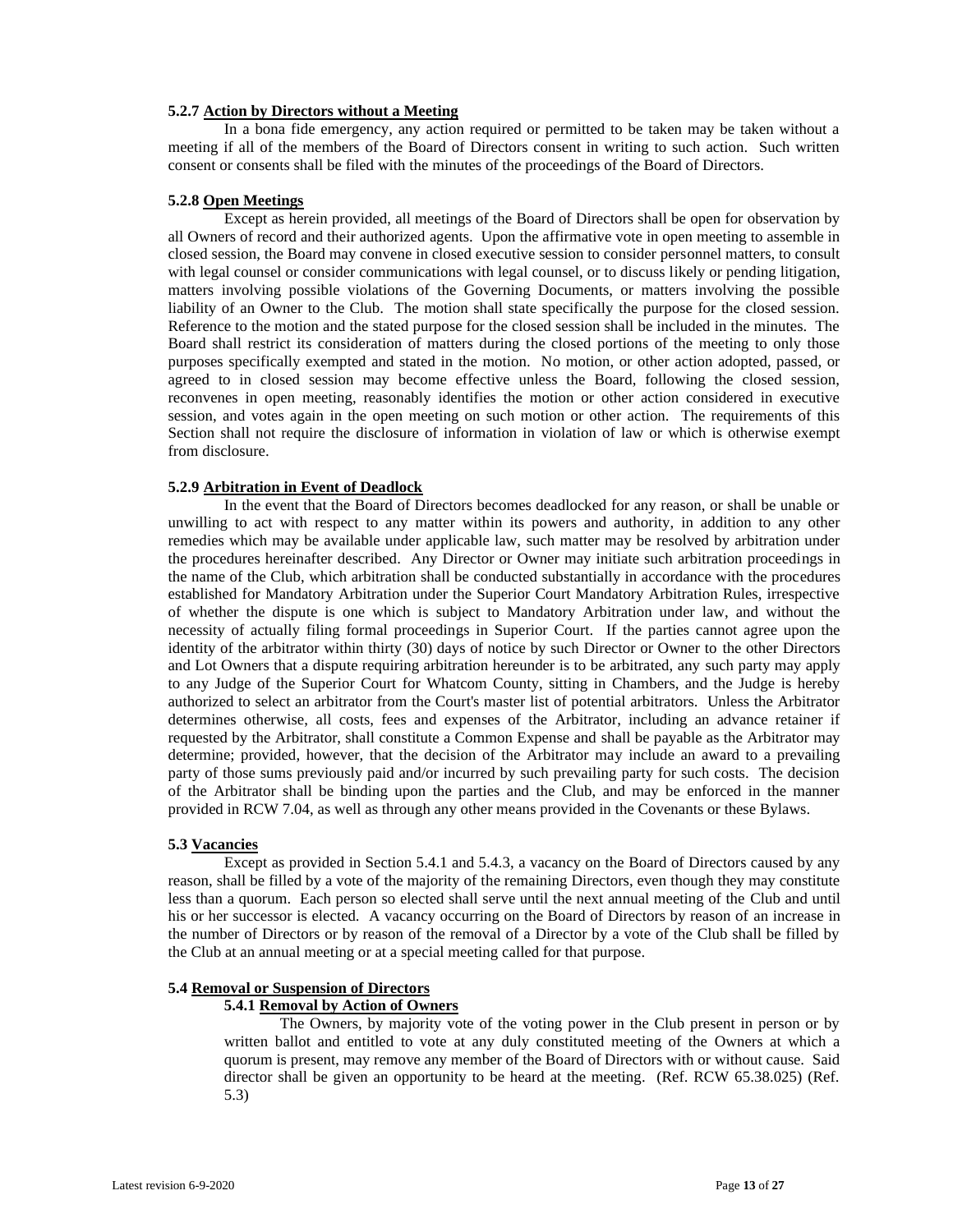# **5.2.7 Action by Directors without a Meeting**

In a bona fide emergency, any action required or permitted to be taken may be taken without a meeting if all of the members of the Board of Directors consent in writing to such action. Such written consent or consents shall be filed with the minutes of the proceedings of the Board of Directors.

# **5.2.8 Open Meetings**

Except as herein provided, all meetings of the Board of Directors shall be open for observation by all Owners of record and their authorized agents. Upon the affirmative vote in open meeting to assemble in closed session, the Board may convene in closed executive session to consider personnel matters, to consult with legal counsel or consider communications with legal counsel, or to discuss likely or pending litigation, matters involving possible violations of the Governing Documents, or matters involving the possible liability of an Owner to the Club. The motion shall state specifically the purpose for the closed session. Reference to the motion and the stated purpose for the closed session shall be included in the minutes. The Board shall restrict its consideration of matters during the closed portions of the meeting to only those purposes specifically exempted and stated in the motion. No motion, or other action adopted, passed, or agreed to in closed session may become effective unless the Board, following the closed session, reconvenes in open meeting, reasonably identifies the motion or other action considered in executive session, and votes again in the open meeting on such motion or other action. The requirements of this Section shall not require the disclosure of information in violation of law or which is otherwise exempt from disclosure.

# **5.2.9 Arbitration in Event of Deadlock**

In the event that the Board of Directors becomes deadlocked for any reason, or shall be unable or unwilling to act with respect to any matter within its powers and authority, in addition to any other remedies which may be available under applicable law, such matter may be resolved by arbitration under the procedures hereinafter described. Any Director or Owner may initiate such arbitration proceedings in the name of the Club, which arbitration shall be conducted substantially in accordance with the procedures established for Mandatory Arbitration under the Superior Court Mandatory Arbitration Rules, irrespective of whether the dispute is one which is subject to Mandatory Arbitration under law, and without the necessity of actually filing formal proceedings in Superior Court. If the parties cannot agree upon the identity of the arbitrator within thirty (30) days of notice by such Director or Owner to the other Directors and Lot Owners that a dispute requiring arbitration hereunder is to be arbitrated, any such party may apply to any Judge of the Superior Court for Whatcom County, sitting in Chambers, and the Judge is hereby authorized to select an arbitrator from the Court's master list of potential arbitrators. Unless the Arbitrator determines otherwise, all costs, fees and expenses of the Arbitrator, including an advance retainer if requested by the Arbitrator, shall constitute a Common Expense and shall be payable as the Arbitrator may determine; provided, however, that the decision of the Arbitrator may include an award to a prevailing party of those sums previously paid and/or incurred by such prevailing party for such costs. The decision of the Arbitrator shall be binding upon the parties and the Club, and may be enforced in the manner provided in RCW 7.04, as well as through any other means provided in the Covenants or these Bylaws.

#### **5.3 Vacancies**

Except as provided in Section 5.4.1 and 5.4.3, a vacancy on the Board of Directors caused by any reason, shall be filled by a vote of the majority of the remaining Directors, even though they may constitute less than a quorum. Each person so elected shall serve until the next annual meeting of the Club and until his or her successor is elected. A vacancy occurring on the Board of Directors by reason of an increase in the number of Directors or by reason of the removal of a Director by a vote of the Club shall be filled by the Club at an annual meeting or at a special meeting called for that purpose.

#### **5.4 Removal or Suspension of Directors**

#### **5.4.1 Removal by Action of Owners**

The Owners, by majority vote of the voting power in the Club present in person or by written ballot and entitled to vote at any duly constituted meeting of the Owners at which a quorum is present, may remove any member of the Board of Directors with or without cause. Said director shall be given an opportunity to be heard at the meeting. (Ref. RCW 65.38.025) (Ref. 5.3)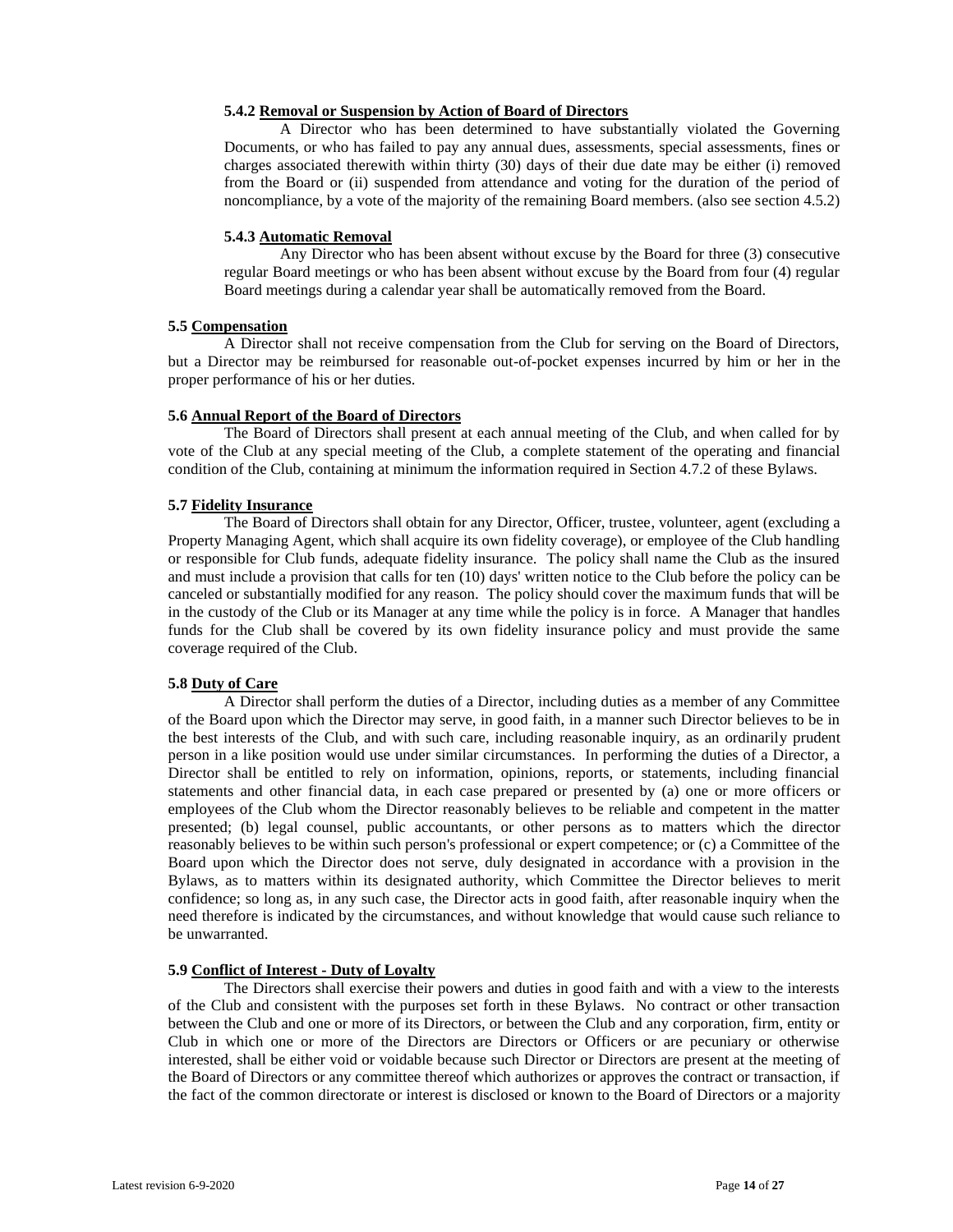# **5.4.2 Removal or Suspension by Action of Board of Directors**

A Director who has been determined to have substantially violated the Governing Documents, or who has failed to pay any annual dues, assessments, special assessments, fines or charges associated therewith within thirty (30) days of their due date may be either (i) removed from the Board or (ii) suspended from attendance and voting for the duration of the period of noncompliance, by a vote of the majority of the remaining Board members. (also see section 4.5.2)

# **5.4.3 Automatic Removal**

Any Director who has been absent without excuse by the Board for three (3) consecutive regular Board meetings or who has been absent without excuse by the Board from four (4) regular Board meetings during a calendar year shall be automatically removed from the Board.

# **5.5 Compensation**

A Director shall not receive compensation from the Club for serving on the Board of Directors, but a Director may be reimbursed for reasonable out-of-pocket expenses incurred by him or her in the proper performance of his or her duties.

# **5.6 Annual Report of the Board of Directors**

The Board of Directors shall present at each annual meeting of the Club, and when called for by vote of the Club at any special meeting of the Club, a complete statement of the operating and financial condition of the Club, containing at minimum the information required in Section 4.7.2 of these Bylaws.

# **5.7 Fidelity Insurance**

The Board of Directors shall obtain for any Director, Officer, trustee, volunteer, agent (excluding a Property Managing Agent, which shall acquire its own fidelity coverage), or employee of the Club handling or responsible for Club funds, adequate fidelity insurance. The policy shall name the Club as the insured and must include a provision that calls for ten (10) days' written notice to the Club before the policy can be canceled or substantially modified for any reason. The policy should cover the maximum funds that will be in the custody of the Club or its Manager at any time while the policy is in force. A Manager that handles funds for the Club shall be covered by its own fidelity insurance policy and must provide the same coverage required of the Club.

# **5.8 Duty of Care**

A Director shall perform the duties of a Director, including duties as a member of any Committee of the Board upon which the Director may serve, in good faith, in a manner such Director believes to be in the best interests of the Club, and with such care, including reasonable inquiry, as an ordinarily prudent person in a like position would use under similar circumstances. In performing the duties of a Director, a Director shall be entitled to rely on information, opinions, reports, or statements, including financial statements and other financial data, in each case prepared or presented by (a) one or more officers or employees of the Club whom the Director reasonably believes to be reliable and competent in the matter presented; (b) legal counsel, public accountants, or other persons as to matters which the director reasonably believes to be within such person's professional or expert competence; or (c) a Committee of the Board upon which the Director does not serve, duly designated in accordance with a provision in the Bylaws, as to matters within its designated authority, which Committee the Director believes to merit confidence; so long as, in any such case, the Director acts in good faith, after reasonable inquiry when the need therefore is indicated by the circumstances, and without knowledge that would cause such reliance to be unwarranted.

# **5.9 Conflict of Interest - Duty of Loyalty**

The Directors shall exercise their powers and duties in good faith and with a view to the interests of the Club and consistent with the purposes set forth in these Bylaws. No contract or other transaction between the Club and one or more of its Directors, or between the Club and any corporation, firm, entity or Club in which one or more of the Directors are Directors or Officers or are pecuniary or otherwise interested, shall be either void or voidable because such Director or Directors are present at the meeting of the Board of Directors or any committee thereof which authorizes or approves the contract or transaction, if the fact of the common directorate or interest is disclosed or known to the Board of Directors or a majority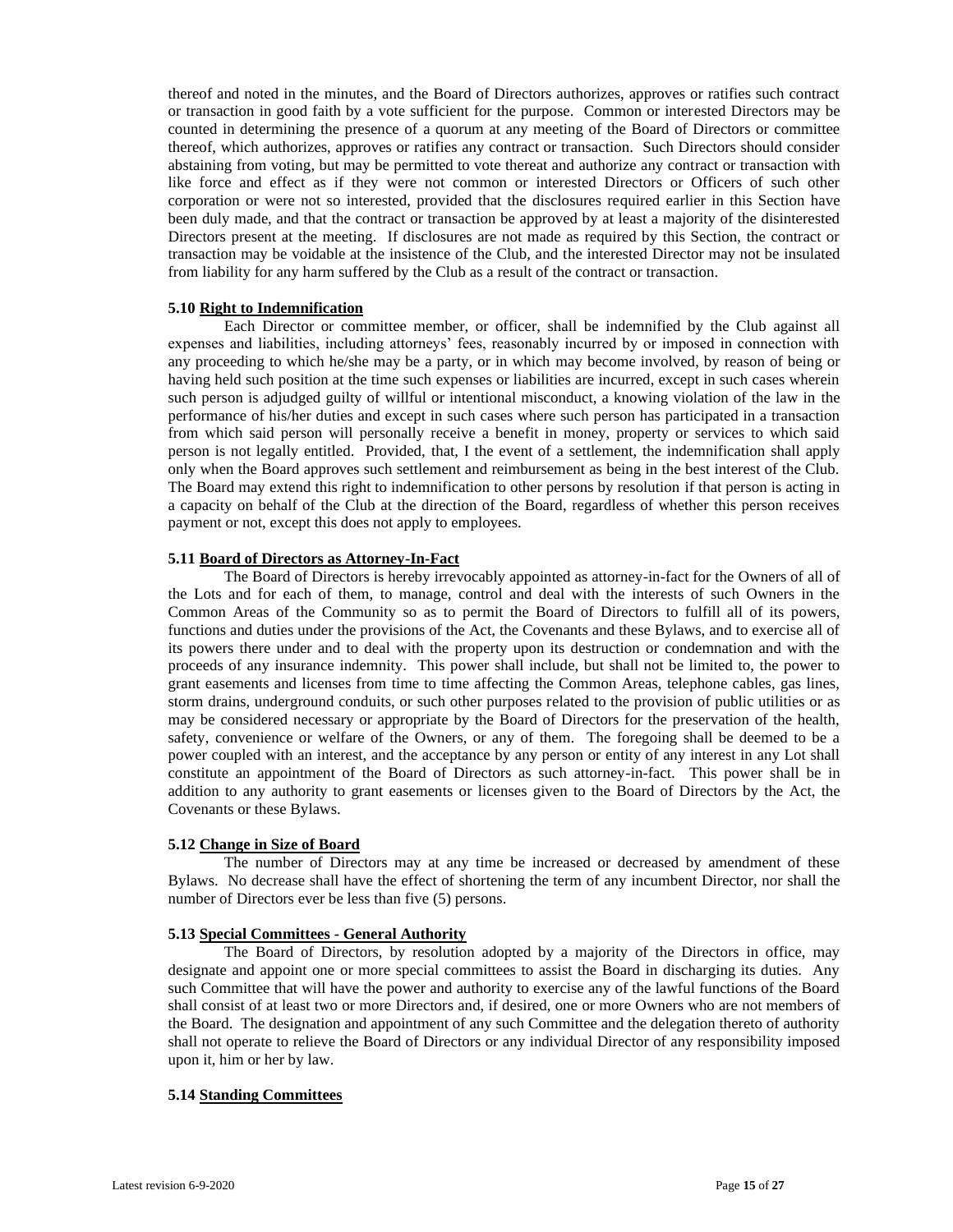thereof and noted in the minutes, and the Board of Directors authorizes, approves or ratifies such contract or transaction in good faith by a vote sufficient for the purpose. Common or interested Directors may be counted in determining the presence of a quorum at any meeting of the Board of Directors or committee thereof, which authorizes, approves or ratifies any contract or transaction. Such Directors should consider abstaining from voting, but may be permitted to vote thereat and authorize any contract or transaction with like force and effect as if they were not common or interested Directors or Officers of such other corporation or were not so interested, provided that the disclosures required earlier in this Section have been duly made, and that the contract or transaction be approved by at least a majority of the disinterested Directors present at the meeting. If disclosures are not made as required by this Section, the contract or transaction may be voidable at the insistence of the Club, and the interested Director may not be insulated from liability for any harm suffered by the Club as a result of the contract or transaction.

### **5.10 Right to Indemnification**

Each Director or committee member, or officer, shall be indemnified by the Club against all expenses and liabilities, including attorneys' fees, reasonably incurred by or imposed in connection with any proceeding to which he/she may be a party, or in which may become involved, by reason of being or having held such position at the time such expenses or liabilities are incurred, except in such cases wherein such person is adjudged guilty of willful or intentional misconduct, a knowing violation of the law in the performance of his/her duties and except in such cases where such person has participated in a transaction from which said person will personally receive a benefit in money, property or services to which said person is not legally entitled. Provided, that, I the event of a settlement, the indemnification shall apply only when the Board approves such settlement and reimbursement as being in the best interest of the Club. The Board may extend this right to indemnification to other persons by resolution if that person is acting in a capacity on behalf of the Club at the direction of the Board, regardless of whether this person receives payment or not, except this does not apply to employees.

#### **5.11 Board of Directors as Attorney-In-Fact**

The Board of Directors is hereby irrevocably appointed as attorney-in-fact for the Owners of all of the Lots and for each of them, to manage, control and deal with the interests of such Owners in the Common Areas of the Community so as to permit the Board of Directors to fulfill all of its powers, functions and duties under the provisions of the Act, the Covenants and these Bylaws, and to exercise all of its powers there under and to deal with the property upon its destruction or condemnation and with the proceeds of any insurance indemnity. This power shall include, but shall not be limited to, the power to grant easements and licenses from time to time affecting the Common Areas, telephone cables, gas lines, storm drains, underground conduits, or such other purposes related to the provision of public utilities or as may be considered necessary or appropriate by the Board of Directors for the preservation of the health, safety, convenience or welfare of the Owners, or any of them. The foregoing shall be deemed to be a power coupled with an interest, and the acceptance by any person or entity of any interest in any Lot shall constitute an appointment of the Board of Directors as such attorney-in-fact. This power shall be in addition to any authority to grant easements or licenses given to the Board of Directors by the Act, the Covenants or these Bylaws.

#### **5.12 Change in Size of Board**

The number of Directors may at any time be increased or decreased by amendment of these Bylaws. No decrease shall have the effect of shortening the term of any incumbent Director, nor shall the number of Directors ever be less than five (5) persons.

#### **5.13 Special Committees - General Authority**

The Board of Directors, by resolution adopted by a majority of the Directors in office, may designate and appoint one or more special committees to assist the Board in discharging its duties. Any such Committee that will have the power and authority to exercise any of the lawful functions of the Board shall consist of at least two or more Directors and, if desired, one or more Owners who are not members of the Board. The designation and appointment of any such Committee and the delegation thereto of authority shall not operate to relieve the Board of Directors or any individual Director of any responsibility imposed upon it, him or her by law.

# **5.14 Standing Committees**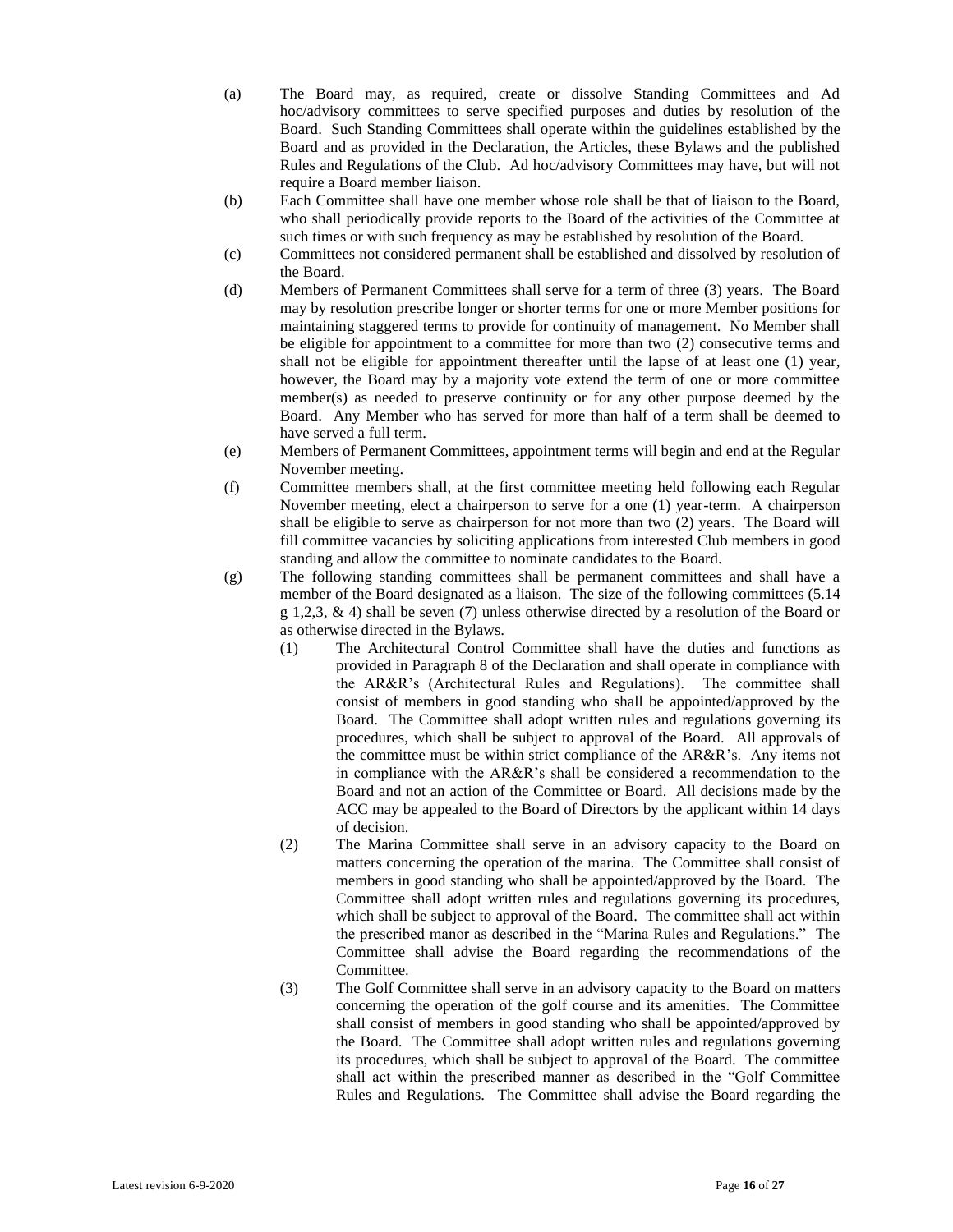- (a) The Board may, as required, create or dissolve Standing Committees and Ad hoc/advisory committees to serve specified purposes and duties by resolution of the Board. Such Standing Committees shall operate within the guidelines established by the Board and as provided in the Declaration, the Articles, these Bylaws and the published Rules and Regulations of the Club. Ad hoc/advisory Committees may have, but will not require a Board member liaison.
- (b) Each Committee shall have one member whose role shall be that of liaison to the Board, who shall periodically provide reports to the Board of the activities of the Committee at such times or with such frequency as may be established by resolution of the Board.
- (c) Committees not considered permanent shall be established and dissolved by resolution of the Board.
- (d) Members of Permanent Committees shall serve for a term of three (3) years. The Board may by resolution prescribe longer or shorter terms for one or more Member positions for maintaining staggered terms to provide for continuity of management. No Member shall be eligible for appointment to a committee for more than two (2) consecutive terms and shall not be eligible for appointment thereafter until the lapse of at least one (1) year, however, the Board may by a majority vote extend the term of one or more committee member(s) as needed to preserve continuity or for any other purpose deemed by the Board. Any Member who has served for more than half of a term shall be deemed to have served a full term.
- (e) Members of Permanent Committees, appointment terms will begin and end at the Regular November meeting.
- (f) Committee members shall, at the first committee meeting held following each Regular November meeting, elect a chairperson to serve for a one (1) year-term. A chairperson shall be eligible to serve as chairperson for not more than two (2) years. The Board will fill committee vacancies by soliciting applications from interested Club members in good standing and allow the committee to nominate candidates to the Board.
- (g) The following standing committees shall be permanent committees and shall have a member of the Board designated as a liaison. The size of the following committees (5.14 g 1,2,3, & 4) shall be seven (7) unless otherwise directed by a resolution of the Board or as otherwise directed in the Bylaws.
	- (1) The Architectural Control Committee shall have the duties and functions as provided in Paragraph 8 of the Declaration and shall operate in compliance with the AR&R's (Architectural Rules and Regulations). The committee shall consist of members in good standing who shall be appointed/approved by the Board. The Committee shall adopt written rules and regulations governing its procedures, which shall be subject to approval of the Board. All approvals of the committee must be within strict compliance of the AR&R's. Any items not in compliance with the AR&R's shall be considered a recommendation to the Board and not an action of the Committee or Board. All decisions made by the ACC may be appealed to the Board of Directors by the applicant within 14 days of decision.
	- (2) The Marina Committee shall serve in an advisory capacity to the Board on matters concerning the operation of the marina. The Committee shall consist of members in good standing who shall be appointed/approved by the Board. The Committee shall adopt written rules and regulations governing its procedures, which shall be subject to approval of the Board. The committee shall act within the prescribed manor as described in the "Marina Rules and Regulations." The Committee shall advise the Board regarding the recommendations of the Committee.
	- (3) The Golf Committee shall serve in an advisory capacity to the Board on matters concerning the operation of the golf course and its amenities. The Committee shall consist of members in good standing who shall be appointed/approved by the Board. The Committee shall adopt written rules and regulations governing its procedures, which shall be subject to approval of the Board. The committee shall act within the prescribed manner as described in the "Golf Committee Rules and Regulations. The Committee shall advise the Board regarding the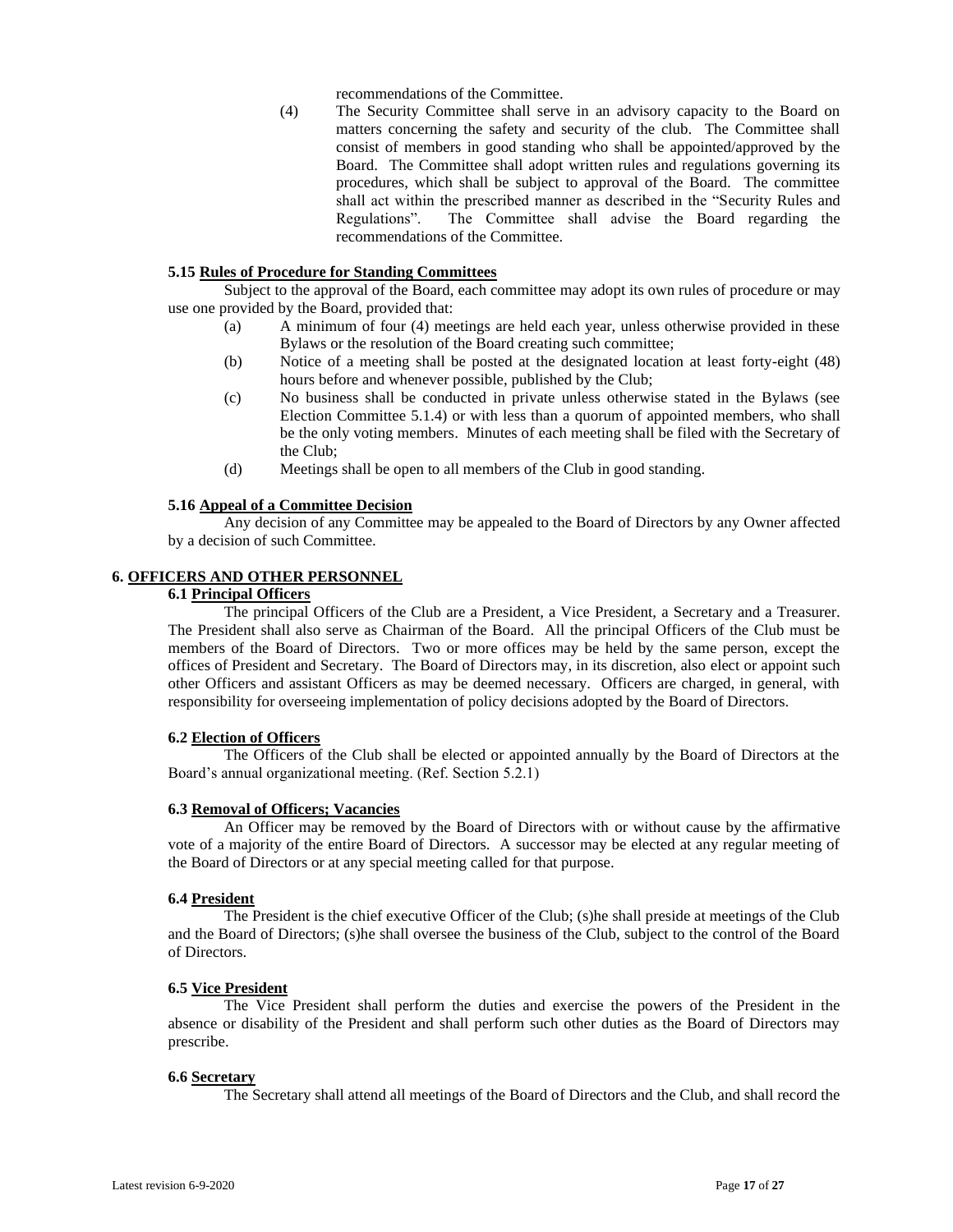recommendations of the Committee.

(4) The Security Committee shall serve in an advisory capacity to the Board on matters concerning the safety and security of the club. The Committee shall consist of members in good standing who shall be appointed/approved by the Board. The Committee shall adopt written rules and regulations governing its procedures, which shall be subject to approval of the Board. The committee shall act within the prescribed manner as described in the "Security Rules and Regulations". The Committee shall advise the Board regarding the recommendations of the Committee.

# **5.15 Rules of Procedure for Standing Committees**

Subject to the approval of the Board, each committee may adopt its own rules of procedure or may use one provided by the Board, provided that:

- (a) A minimum of four (4) meetings are held each year, unless otherwise provided in these Bylaws or the resolution of the Board creating such committee;
- (b) Notice of a meeting shall be posted at the designated location at least forty-eight (48) hours before and whenever possible, published by the Club;
- (c) No business shall be conducted in private unless otherwise stated in the Bylaws (see Election Committee 5.1.4) or with less than a quorum of appointed members, who shall be the only voting members. Minutes of each meeting shall be filed with the Secretary of the Club;
- (d) Meetings shall be open to all members of the Club in good standing.

#### **5.16 Appeal of a Committee Decision**

Any decision of any Committee may be appealed to the Board of Directors by any Owner affected by a decision of such Committee.

# **6. OFFICERS AND OTHER PERSONNEL**

# **6.1 Principal Officers**

The principal Officers of the Club are a President, a Vice President, a Secretary and a Treasurer. The President shall also serve as Chairman of the Board. All the principal Officers of the Club must be members of the Board of Directors. Two or more offices may be held by the same person, except the offices of President and Secretary. The Board of Directors may, in its discretion, also elect or appoint such other Officers and assistant Officers as may be deemed necessary. Officers are charged, in general, with responsibility for overseeing implementation of policy decisions adopted by the Board of Directors.

#### **6.2 Election of Officers**

The Officers of the Club shall be elected or appointed annually by the Board of Directors at the Board's annual organizational meeting. (Ref. Section 5.2.1)

#### **6.3 Removal of Officers; Vacancies**

An Officer may be removed by the Board of Directors with or without cause by the affirmative vote of a majority of the entire Board of Directors. A successor may be elected at any regular meeting of the Board of Directors or at any special meeting called for that purpose.

#### **6.4 President**

The President is the chief executive Officer of the Club; (s)he shall preside at meetings of the Club and the Board of Directors; (s)he shall oversee the business of the Club, subject to the control of the Board of Directors.

#### **6.5 Vice President**

The Vice President shall perform the duties and exercise the powers of the President in the absence or disability of the President and shall perform such other duties as the Board of Directors may prescribe.

#### **6.6 Secretary**

The Secretary shall attend all meetings of the Board of Directors and the Club, and shall record the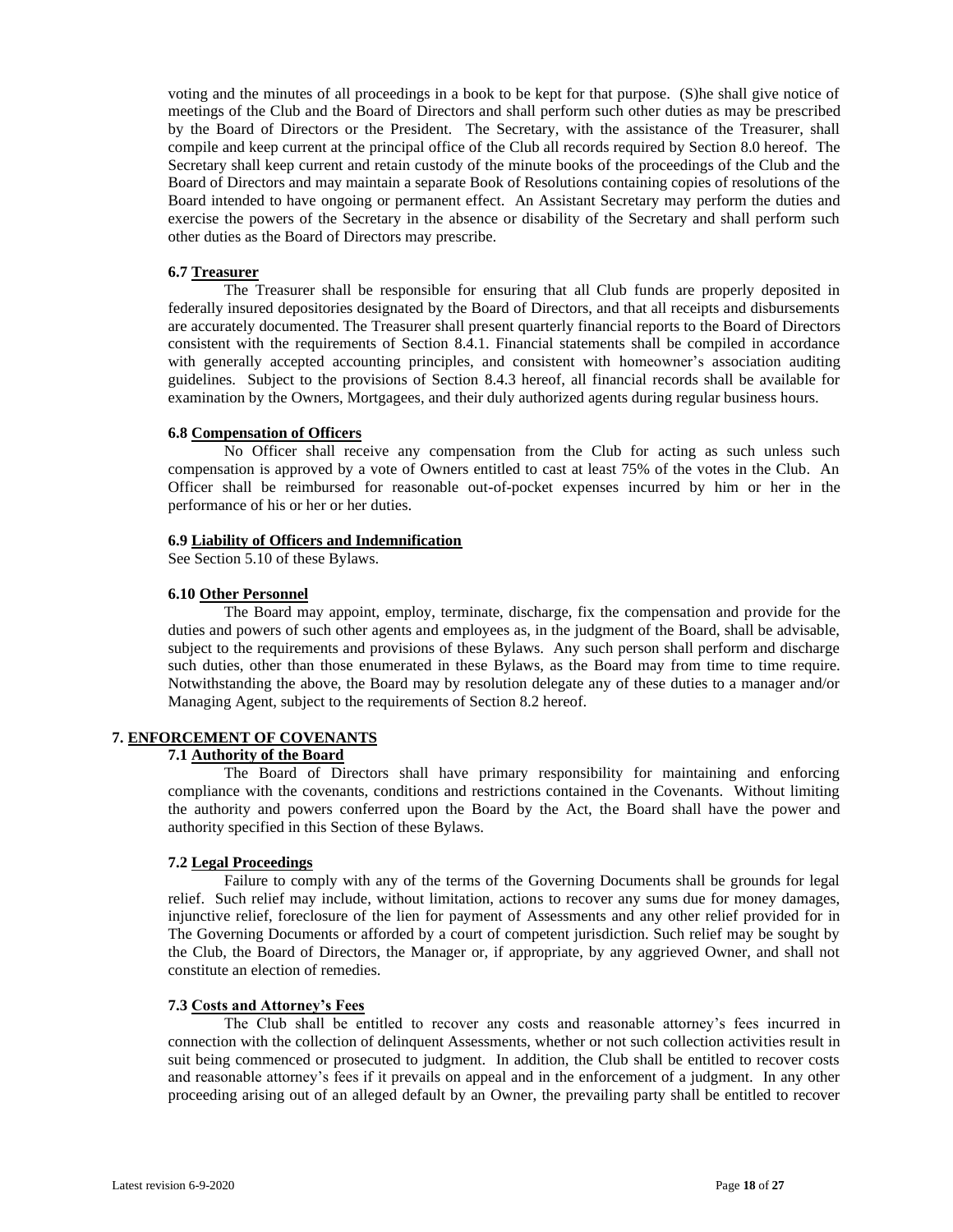voting and the minutes of all proceedings in a book to be kept for that purpose. (S)he shall give notice of meetings of the Club and the Board of Directors and shall perform such other duties as may be prescribed by the Board of Directors or the President. The Secretary, with the assistance of the Treasurer, shall compile and keep current at the principal office of the Club all records required by Section 8.0 hereof. The Secretary shall keep current and retain custody of the minute books of the proceedings of the Club and the Board of Directors and may maintain a separate Book of Resolutions containing copies of resolutions of the Board intended to have ongoing or permanent effect. An Assistant Secretary may perform the duties and exercise the powers of the Secretary in the absence or disability of the Secretary and shall perform such other duties as the Board of Directors may prescribe.

#### **6.7 Treasurer**

The Treasurer shall be responsible for ensuring that all Club funds are properly deposited in federally insured depositories designated by the Board of Directors, and that all receipts and disbursements are accurately documented. The Treasurer shall present quarterly financial reports to the Board of Directors consistent with the requirements of Section 8.4.1. Financial statements shall be compiled in accordance with generally accepted accounting principles, and consistent with homeowner's association auditing guidelines. Subject to the provisions of Section 8.4.3 hereof, all financial records shall be available for examination by the Owners, Mortgagees, and their duly authorized agents during regular business hours.

#### **6.8 Compensation of Officers**

No Officer shall receive any compensation from the Club for acting as such unless such compensation is approved by a vote of Owners entitled to cast at least 75% of the votes in the Club. An Officer shall be reimbursed for reasonable out-of-pocket expenses incurred by him or her in the performance of his or her or her duties.

#### **6.9 Liability of Officers and Indemnification**

See Section 5.10 of these Bylaws.

#### **6.10 Other Personnel**

The Board may appoint, employ, terminate, discharge, fix the compensation and provide for the duties and powers of such other agents and employees as, in the judgment of the Board, shall be advisable, subject to the requirements and provisions of these Bylaws. Any such person shall perform and discharge such duties, other than those enumerated in these Bylaws, as the Board may from time to time require. Notwithstanding the above, the Board may by resolution delegate any of these duties to a manager and/or Managing Agent, subject to the requirements of Section 8.2 hereof.

# **7. ENFORCEMENT OF COVENANTS**

#### **7.1 Authority of the Board**

The Board of Directors shall have primary responsibility for maintaining and enforcing compliance with the covenants, conditions and restrictions contained in the Covenants. Without limiting the authority and powers conferred upon the Board by the Act, the Board shall have the power and authority specified in this Section of these Bylaws.

#### **7.2 Legal Proceedings**

Failure to comply with any of the terms of the Governing Documents shall be grounds for legal relief. Such relief may include, without limitation, actions to recover any sums due for money damages, injunctive relief, foreclosure of the lien for payment of Assessments and any other relief provided for in The Governing Documents or afforded by a court of competent jurisdiction. Such relief may be sought by the Club, the Board of Directors, the Manager or, if appropriate, by any aggrieved Owner, and shall not constitute an election of remedies.

#### **7.3 Costs and Attorney's Fees**

The Club shall be entitled to recover any costs and reasonable attorney's fees incurred in connection with the collection of delinquent Assessments, whether or not such collection activities result in suit being commenced or prosecuted to judgment. In addition, the Club shall be entitled to recover costs and reasonable attorney's fees if it prevails on appeal and in the enforcement of a judgment. In any other proceeding arising out of an alleged default by an Owner, the prevailing party shall be entitled to recover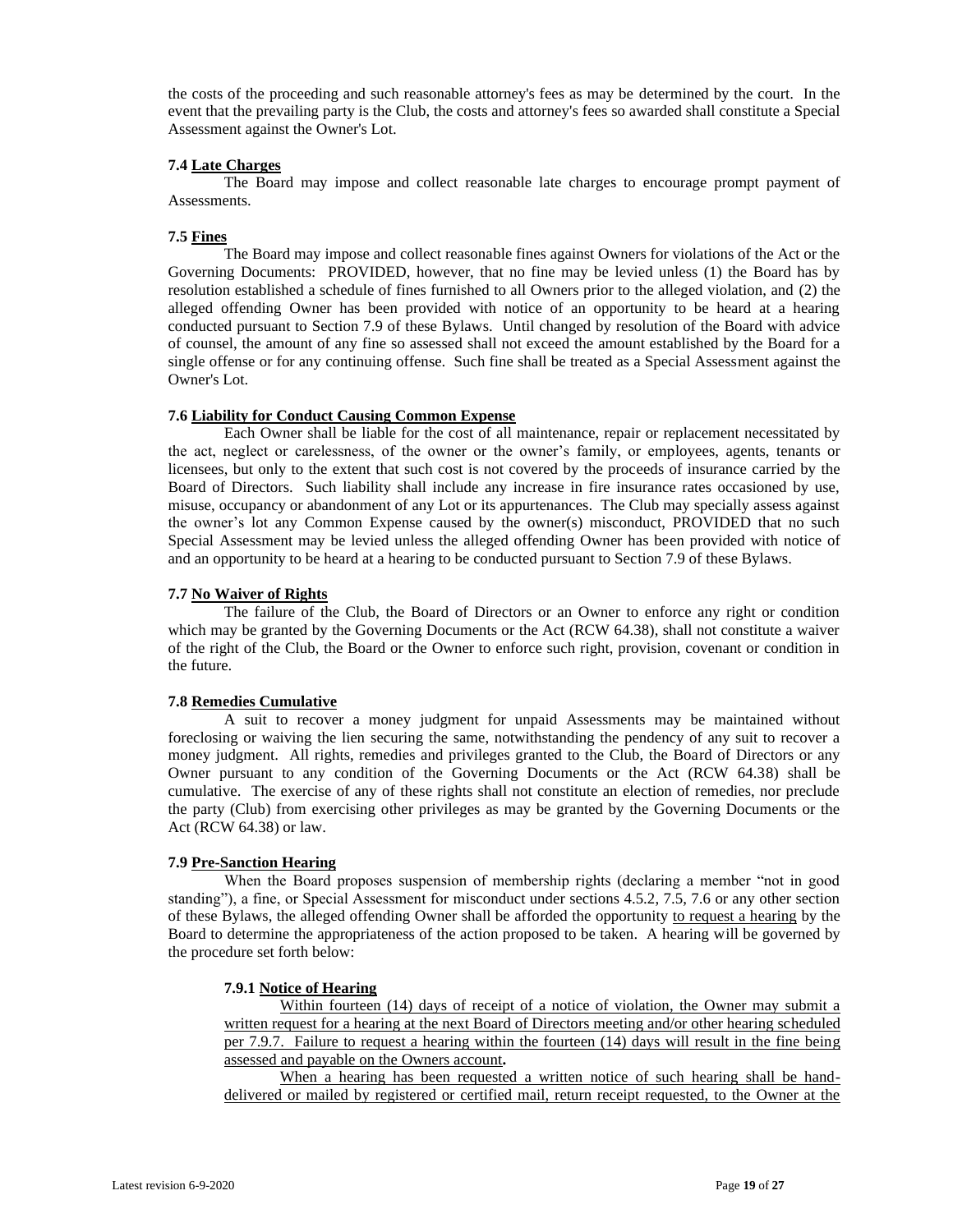the costs of the proceeding and such reasonable attorney's fees as may be determined by the court. In the event that the prevailing party is the Club, the costs and attorney's fees so awarded shall constitute a Special Assessment against the Owner's Lot.

#### **7.4 Late Charges**

The Board may impose and collect reasonable late charges to encourage prompt payment of Assessments.

# **7.5 Fines**

The Board may impose and collect reasonable fines against Owners for violations of the Act or the Governing Documents: PROVIDED, however, that no fine may be levied unless (1) the Board has by resolution established a schedule of fines furnished to all Owners prior to the alleged violation, and (2) the alleged offending Owner has been provided with notice of an opportunity to be heard at a hearing conducted pursuant to Section 7.9 of these Bylaws. Until changed by resolution of the Board with advice of counsel, the amount of any fine so assessed shall not exceed the amount established by the Board for a single offense or for any continuing offense. Such fine shall be treated as a Special Assessment against the Owner's Lot.

#### **7.6 Liability for Conduct Causing Common Expense**

Each Owner shall be liable for the cost of all maintenance, repair or replacement necessitated by the act, neglect or carelessness, of the owner or the owner's family, or employees, agents, tenants or licensees, but only to the extent that such cost is not covered by the proceeds of insurance carried by the Board of Directors. Such liability shall include any increase in fire insurance rates occasioned by use, misuse, occupancy or abandonment of any Lot or its appurtenances. The Club may specially assess against the owner's lot any Common Expense caused by the owner(s) misconduct, PROVIDED that no such Special Assessment may be levied unless the alleged offending Owner has been provided with notice of and an opportunity to be heard at a hearing to be conducted pursuant to Section 7.9 of these Bylaws.

# **7.7 No Waiver of Rights**

The failure of the Club, the Board of Directors or an Owner to enforce any right or condition which may be granted by the Governing Documents or the Act (RCW 64.38), shall not constitute a waiver of the right of the Club, the Board or the Owner to enforce such right, provision, covenant or condition in the future.

#### **7.8 Remedies Cumulative**

A suit to recover a money judgment for unpaid Assessments may be maintained without foreclosing or waiving the lien securing the same, notwithstanding the pendency of any suit to recover a money judgment. All rights, remedies and privileges granted to the Club, the Board of Directors or any Owner pursuant to any condition of the Governing Documents or the Act (RCW 64.38) shall be cumulative. The exercise of any of these rights shall not constitute an election of remedies, nor preclude the party (Club) from exercising other privileges as may be granted by the Governing Documents or the Act (RCW 64.38) or law.

#### **7.9 Pre-Sanction Hearing**

When the Board proposes suspension of membership rights (declaring a member "not in good standing"), a fine, or Special Assessment for misconduct under sections 4.5.2, 7.5, 7.6 or any other section of these Bylaws, the alleged offending Owner shall be afforded the opportunity to request a hearing by the Board to determine the appropriateness of the action proposed to be taken. A hearing will be governed by the procedure set forth below:

#### **7.9.1 Notice of Hearing**

Within fourteen (14) days of receipt of a notice of violation, the Owner may submit a written request for a hearing at the next Board of Directors meeting and/or other hearing scheduled per 7.9.7. Failure to request a hearing within the fourteen (14) days will result in the fine being assessed and payable on the Owners account**.**

When a hearing has been requested a written notice of such hearing shall be handdelivered or mailed by registered or certified mail, return receipt requested, to the Owner at the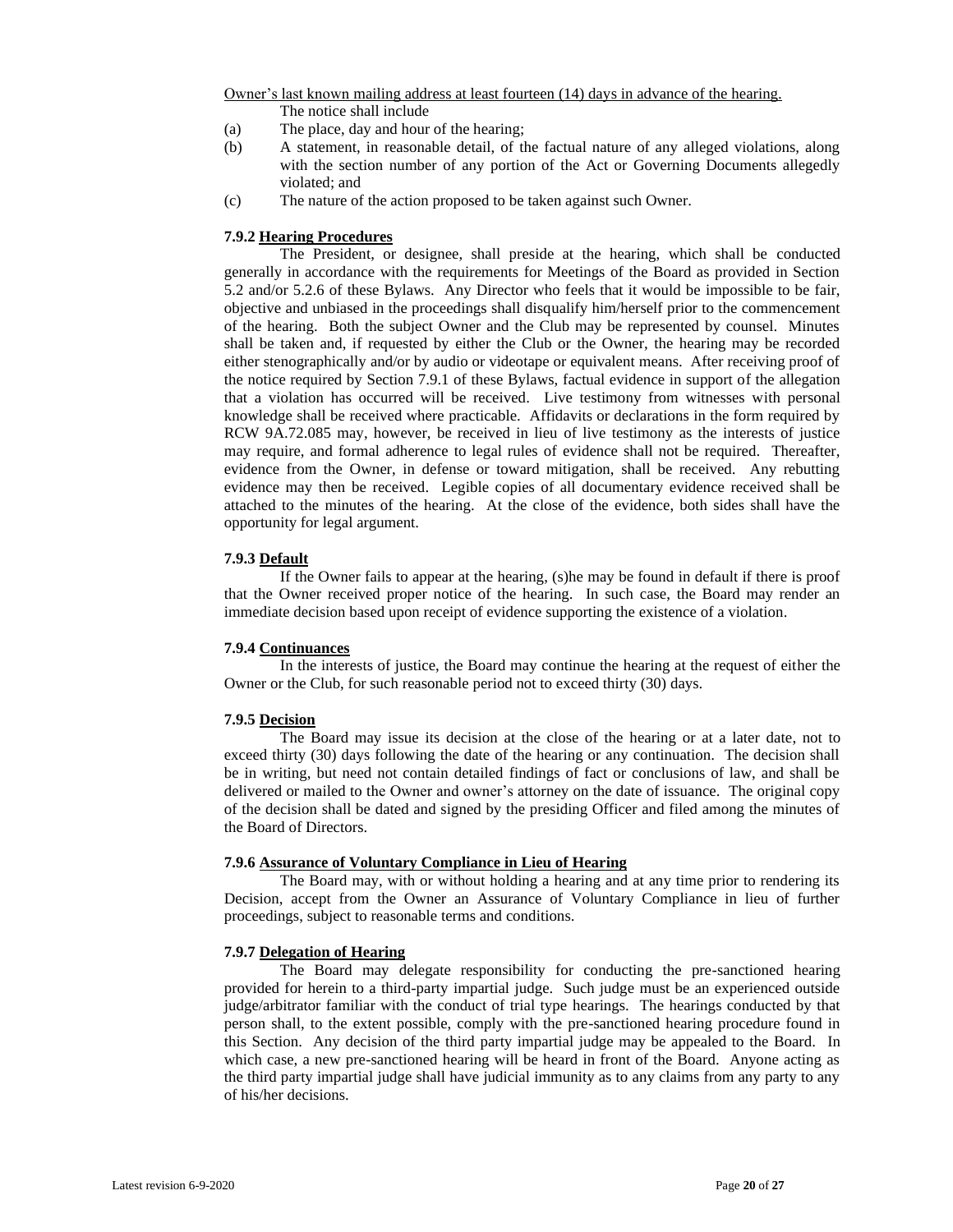Owner's last known mailing address at least fourteen (14) days in advance of the hearing.

The notice shall include

- (a) The place, day and hour of the hearing;
- (b) A statement, in reasonable detail, of the factual nature of any alleged violations, along with the section number of any portion of the Act or Governing Documents allegedly violated; and
- (c) The nature of the action proposed to be taken against such Owner.

# **7.9.2 Hearing Procedures**

The President, or designee, shall preside at the hearing, which shall be conducted generally in accordance with the requirements for Meetings of the Board as provided in Section 5.2 and/or 5.2.6 of these Bylaws. Any Director who feels that it would be impossible to be fair, objective and unbiased in the proceedings shall disqualify him/herself prior to the commencement of the hearing. Both the subject Owner and the Club may be represented by counsel. Minutes shall be taken and, if requested by either the Club or the Owner, the hearing may be recorded either stenographically and/or by audio or videotape or equivalent means. After receiving proof of the notice required by Section 7.9.1 of these Bylaws, factual evidence in support of the allegation that a violation has occurred will be received. Live testimony from witnesses with personal knowledge shall be received where practicable. Affidavits or declarations in the form required by RCW 9A.72.085 may, however, be received in lieu of live testimony as the interests of justice may require, and formal adherence to legal rules of evidence shall not be required. Thereafter, evidence from the Owner, in defense or toward mitigation, shall be received. Any rebutting evidence may then be received. Legible copies of all documentary evidence received shall be attached to the minutes of the hearing. At the close of the evidence, both sides shall have the opportunity for legal argument.

# **7.9.3 Default**

If the Owner fails to appear at the hearing, (s)he may be found in default if there is proof that the Owner received proper notice of the hearing. In such case, the Board may render an immediate decision based upon receipt of evidence supporting the existence of a violation.

#### **7.9.4 Continuances**

In the interests of justice, the Board may continue the hearing at the request of either the Owner or the Club, for such reasonable period not to exceed thirty (30) days.

# **7.9.5 Decision**

The Board may issue its decision at the close of the hearing or at a later date, not to exceed thirty (30) days following the date of the hearing or any continuation. The decision shall be in writing, but need not contain detailed findings of fact or conclusions of law, and shall be delivered or mailed to the Owner and owner's attorney on the date of issuance. The original copy of the decision shall be dated and signed by the presiding Officer and filed among the minutes of the Board of Directors.

#### **7.9.6 Assurance of Voluntary Compliance in Lieu of Hearing**

The Board may, with or without holding a hearing and at any time prior to rendering its Decision, accept from the Owner an Assurance of Voluntary Compliance in lieu of further proceedings, subject to reasonable terms and conditions.

# **7.9.7 Delegation of Hearing**

The Board may delegate responsibility for conducting the pre-sanctioned hearing provided for herein to a third-party impartial judge. Such judge must be an experienced outside judge/arbitrator familiar with the conduct of trial type hearings. The hearings conducted by that person shall, to the extent possible, comply with the pre-sanctioned hearing procedure found in this Section. Any decision of the third party impartial judge may be appealed to the Board. In which case, a new pre-sanctioned hearing will be heard in front of the Board. Anyone acting as the third party impartial judge shall have judicial immunity as to any claims from any party to any of his/her decisions.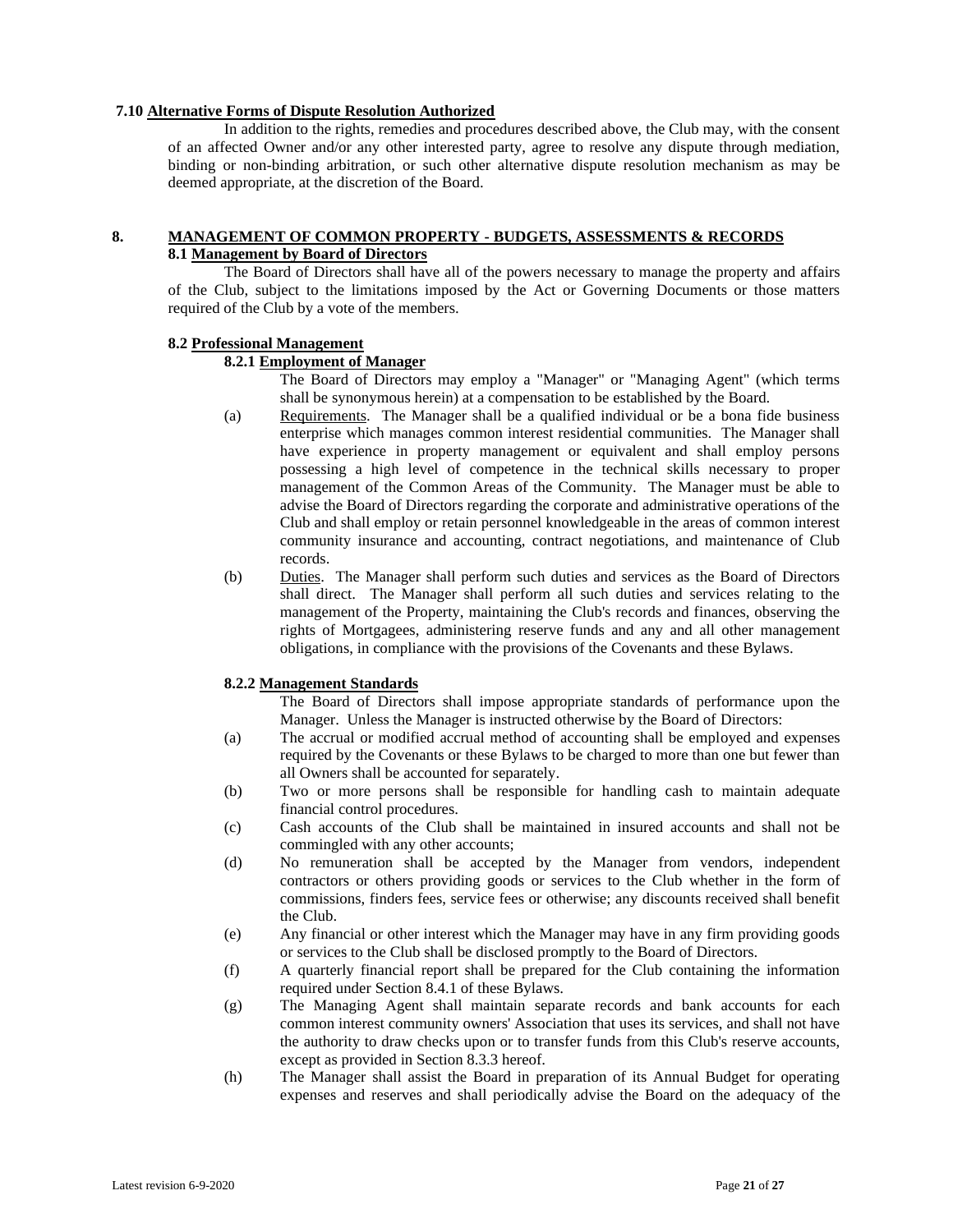# **7.10 Alternative Forms of Dispute Resolution Authorized**

In addition to the rights, remedies and procedures described above, the Club may, with the consent of an affected Owner and/or any other interested party, agree to resolve any dispute through mediation, binding or non-binding arbitration, or such other alternative dispute resolution mechanism as may be deemed appropriate, at the discretion of the Board.

# **8. MANAGEMENT OF COMMON PROPERTY - BUDGETS, ASSESSMENTS & RECORDS 8.1 Management by Board of Directors**

The Board of Directors shall have all of the powers necessary to manage the property and affairs of the Club, subject to the limitations imposed by the Act or Governing Documents or those matters required of the Club by a vote of the members.

#### **8.2 Professional Management**

# **8.2.1 Employment of Manager**

The Board of Directors may employ a "Manager" or "Managing Agent" (which terms shall be synonymous herein) at a compensation to be established by the Board.

- (a) Requirements. The Manager shall be a qualified individual or be a bona fide business enterprise which manages common interest residential communities. The Manager shall have experience in property management or equivalent and shall employ persons possessing a high level of competence in the technical skills necessary to proper management of the Common Areas of the Community. The Manager must be able to advise the Board of Directors regarding the corporate and administrative operations of the Club and shall employ or retain personnel knowledgeable in the areas of common interest community insurance and accounting, contract negotiations, and maintenance of Club records.
- (b) Duties. The Manager shall perform such duties and services as the Board of Directors shall direct. The Manager shall perform all such duties and services relating to the management of the Property, maintaining the Club's records and finances, observing the rights of Mortgagees, administering reserve funds and any and all other management obligations, in compliance with the provisions of the Covenants and these Bylaws.

#### **8.2.2 Management Standards**

The Board of Directors shall impose appropriate standards of performance upon the Manager. Unless the Manager is instructed otherwise by the Board of Directors:

- (a) The accrual or modified accrual method of accounting shall be employed and expenses required by the Covenants or these Bylaws to be charged to more than one but fewer than all Owners shall be accounted for separately.
- (b) Two or more persons shall be responsible for handling cash to maintain adequate financial control procedures.
- (c) Cash accounts of the Club shall be maintained in insured accounts and shall not be commingled with any other accounts;
- (d) No remuneration shall be accepted by the Manager from vendors, independent contractors or others providing goods or services to the Club whether in the form of commissions, finders fees, service fees or otherwise; any discounts received shall benefit the Club.
- (e) Any financial or other interest which the Manager may have in any firm providing goods or services to the Club shall be disclosed promptly to the Board of Directors.
- (f) A quarterly financial report shall be prepared for the Club containing the information required under Section 8.4.1 of these Bylaws.
- (g) The Managing Agent shall maintain separate records and bank accounts for each common interest community owners' Association that uses its services, and shall not have the authority to draw checks upon or to transfer funds from this Club's reserve accounts, except as provided in Section 8.3.3 hereof.
- (h) The Manager shall assist the Board in preparation of its Annual Budget for operating expenses and reserves and shall periodically advise the Board on the adequacy of the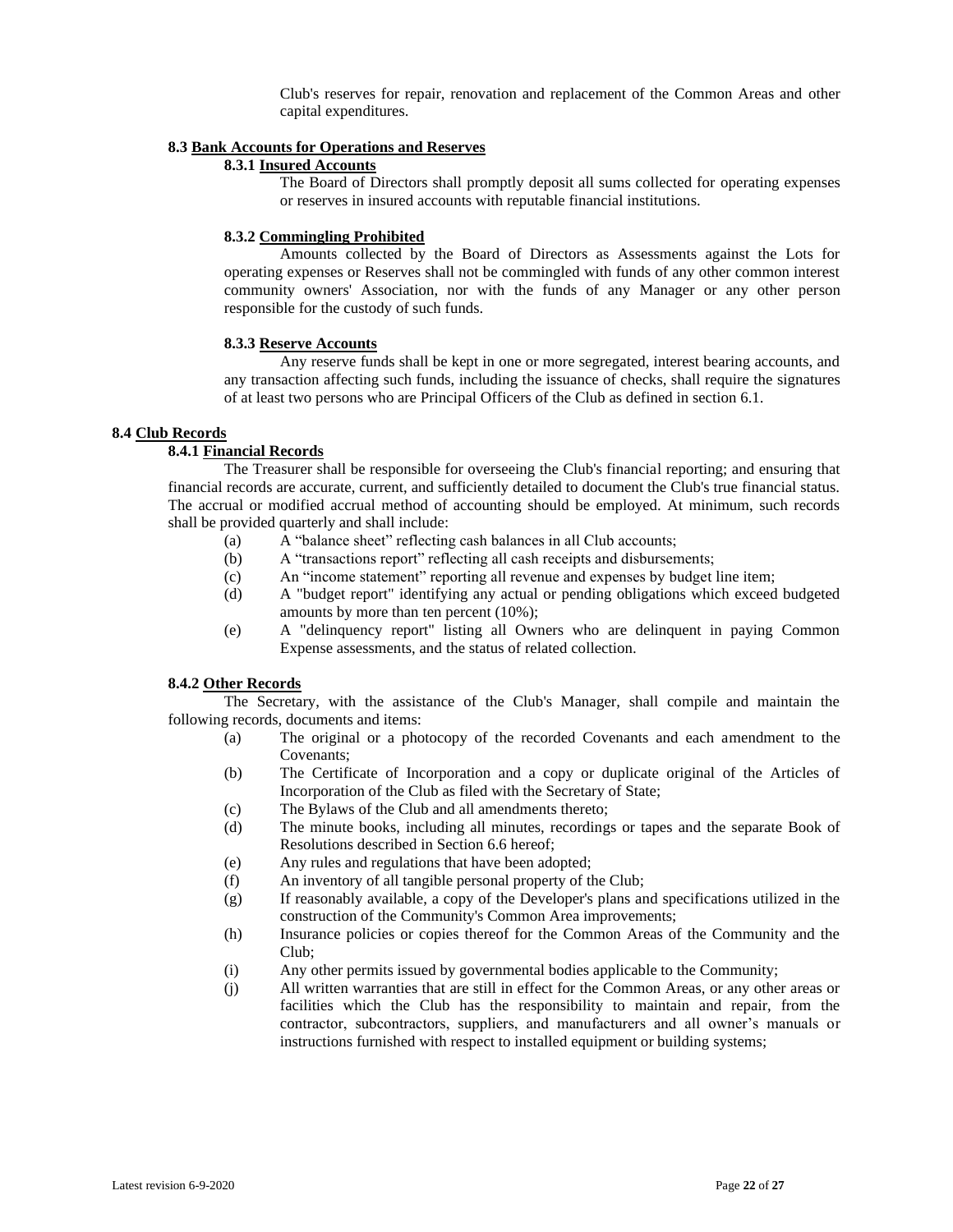Club's reserves for repair, renovation and replacement of the Common Areas and other capital expenditures.

### **8.3 Bank Accounts for Operations and Reserves**

### **8.3.1 Insured Accounts**

The Board of Directors shall promptly deposit all sums collected for operating expenses or reserves in insured accounts with reputable financial institutions.

#### **8.3.2 Commingling Prohibited**

Amounts collected by the Board of Directors as Assessments against the Lots for operating expenses or Reserves shall not be commingled with funds of any other common interest community owners' Association, nor with the funds of any Manager or any other person responsible for the custody of such funds.

#### **8.3.3 Reserve Accounts**

Any reserve funds shall be kept in one or more segregated, interest bearing accounts, and any transaction affecting such funds, including the issuance of checks, shall require the signatures of at least two persons who are Principal Officers of the Club as defined in section 6.1.

# **8.4 Club Records**

# **8.4.1 Financial Records**

The Treasurer shall be responsible for overseeing the Club's financial reporting; and ensuring that financial records are accurate, current, and sufficiently detailed to document the Club's true financial status. The accrual or modified accrual method of accounting should be employed. At minimum, such records shall be provided quarterly and shall include:

- (a) A "balance sheet" reflecting cash balances in all Club accounts;
- (b) A "transactions report" reflecting all cash receipts and disbursements;
- (c) An "income statement" reporting all revenue and expenses by budget line item;
- (d) A "budget report" identifying any actual or pending obligations which exceed budgeted amounts by more than ten percent (10%);
- (e) A "delinquency report" listing all Owners who are delinquent in paying Common Expense assessments, and the status of related collection.

# **8.4.2 Other Records**

The Secretary, with the assistance of the Club's Manager, shall compile and maintain the following records, documents and items:

- (a) The original or a photocopy of the recorded Covenants and each amendment to the Covenants;
- (b) The Certificate of Incorporation and a copy or duplicate original of the Articles of Incorporation of the Club as filed with the Secretary of State;
- (c) The Bylaws of the Club and all amendments thereto;
- (d) The minute books, including all minutes, recordings or tapes and the separate Book of Resolutions described in Section 6.6 hereof;
- (e) Any rules and regulations that have been adopted;
- (f) An inventory of all tangible personal property of the Club;
- (g) If reasonably available, a copy of the Developer's plans and specifications utilized in the construction of the Community's Common Area improvements;
- (h) Insurance policies or copies thereof for the Common Areas of the Community and the Club;
- (i) Any other permits issued by governmental bodies applicable to the Community;
- (j) All written warranties that are still in effect for the Common Areas, or any other areas or facilities which the Club has the responsibility to maintain and repair, from the contractor, subcontractors, suppliers, and manufacturers and all owner's manuals or instructions furnished with respect to installed equipment or building systems;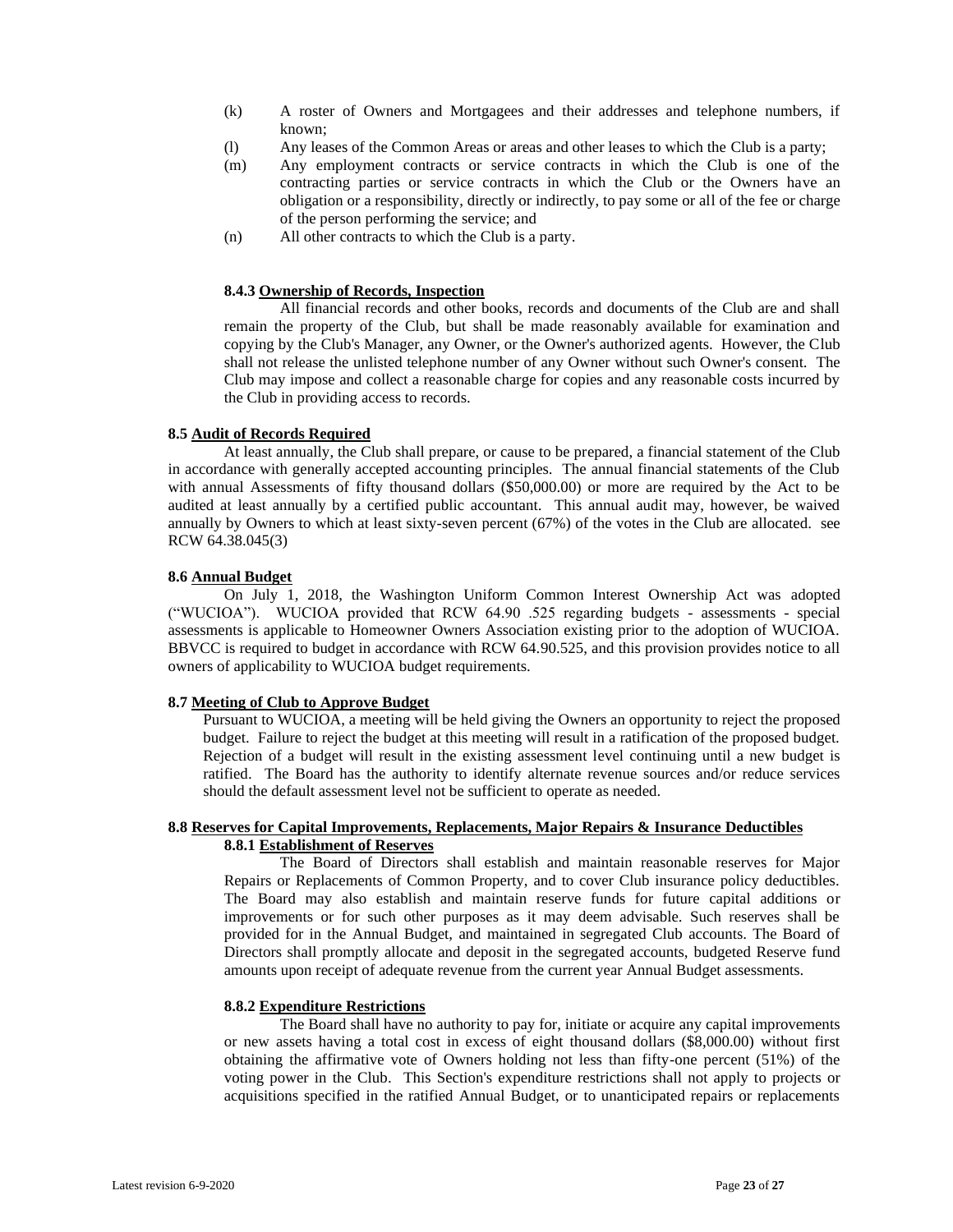- (k) A roster of Owners and Mortgagees and their addresses and telephone numbers, if known;
- (l) Any leases of the Common Areas or areas and other leases to which the Club is a party;
- (m) Any employment contracts or service contracts in which the Club is one of the contracting parties or service contracts in which the Club or the Owners have an obligation or a responsibility, directly or indirectly, to pay some or all of the fee or charge of the person performing the service; and
- (n) All other contracts to which the Club is a party.

# **8.4.3 Ownership of Records, Inspection**

All financial records and other books, records and documents of the Club are and shall remain the property of the Club, but shall be made reasonably available for examination and copying by the Club's Manager, any Owner, or the Owner's authorized agents. However, the Club shall not release the unlisted telephone number of any Owner without such Owner's consent. The Club may impose and collect a reasonable charge for copies and any reasonable costs incurred by the Club in providing access to records.

# **8.5 Audit of Records Required**

At least annually, the Club shall prepare, or cause to be prepared, a financial statement of the Club in accordance with generally accepted accounting principles. The annual financial statements of the Club with annual Assessments of fifty thousand dollars (\$50,000.00) or more are required by the Act to be audited at least annually by a certified public accountant. This annual audit may, however, be waived annually by Owners to which at least sixty-seven percent (67%) of the votes in the Club are allocated. see RCW 64.38.045(3)

# **8.6 Annual Budget**

On July 1, 2018, the Washington Uniform Common Interest Ownership Act was adopted ("WUCIOA"). WUCIOA provided that RCW 64.90 .525 regarding budgets - assessments - special assessments is applicable to Homeowner Owners Association existing prior to the adoption of WUCIOA. BBVCC is required to budget in accordance with RCW 64.90.525, and this provision provides notice to all owners of applicability to WUCIOA budget requirements.

# **8.7 Meeting of Club to Approve Budget**

Pursuant to WUCIOA, a meeting will be held giving the Owners an opportunity to reject the proposed budget. Failure to reject the budget at this meeting will result in a ratification of the proposed budget. Rejection of a budget will result in the existing assessment level continuing until a new budget is ratified. The Board has the authority to identify alternate revenue sources and/or reduce services should the default assessment level not be sufficient to operate as needed.

# **8.8 Reserves for Capital Improvements, Replacements, Major Repairs & Insurance Deductibles 8.8.1 Establishment of Reserves**

The Board of Directors shall establish and maintain reasonable reserves for Major Repairs or Replacements of Common Property, and to cover Club insurance policy deductibles. The Board may also establish and maintain reserve funds for future capital additions or improvements or for such other purposes as it may deem advisable. Such reserves shall be provided for in the Annual Budget, and maintained in segregated Club accounts. The Board of Directors shall promptly allocate and deposit in the segregated accounts, budgeted Reserve fund amounts upon receipt of adequate revenue from the current year Annual Budget assessments.

#### **8.8.2 Expenditure Restrictions**

The Board shall have no authority to pay for, initiate or acquire any capital improvements or new assets having a total cost in excess of eight thousand dollars (\$8,000.00) without first obtaining the affirmative vote of Owners holding not less than fifty-one percent (51%) of the voting power in the Club. This Section's expenditure restrictions shall not apply to projects or acquisitions specified in the ratified Annual Budget, or to unanticipated repairs or replacements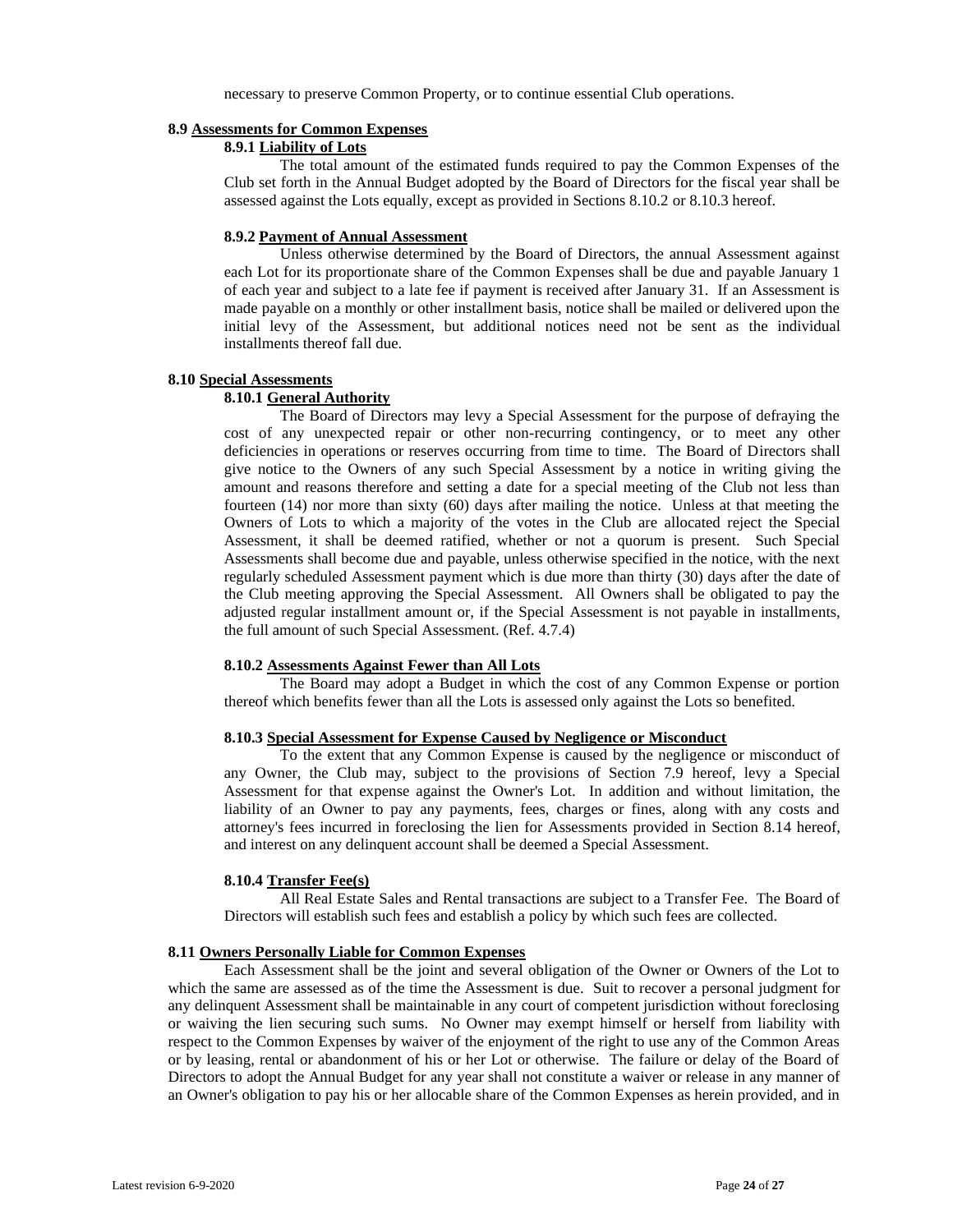necessary to preserve Common Property, or to continue essential Club operations.

#### **8.9 Assessments for Common Expenses**

# **8.9.1 Liability of Lots**

The total amount of the estimated funds required to pay the Common Expenses of the Club set forth in the Annual Budget adopted by the Board of Directors for the fiscal year shall be assessed against the Lots equally, except as provided in Sections 8.10.2 or 8.10.3 hereof.

#### **8.9.2 Payment of Annual Assessment**

Unless otherwise determined by the Board of Directors, the annual Assessment against each Lot for its proportionate share of the Common Expenses shall be due and payable January 1 of each year and subject to a late fee if payment is received after January 31. If an Assessment is made payable on a monthly or other installment basis, notice shall be mailed or delivered upon the initial levy of the Assessment, but additional notices need not be sent as the individual installments thereof fall due.

#### **8.10 Special Assessments**

#### **8.10.1 General Authority**

The Board of Directors may levy a Special Assessment for the purpose of defraying the cost of any unexpected repair or other non-recurring contingency, or to meet any other deficiencies in operations or reserves occurring from time to time. The Board of Directors shall give notice to the Owners of any such Special Assessment by a notice in writing giving the amount and reasons therefore and setting a date for a special meeting of the Club not less than fourteen (14) nor more than sixty (60) days after mailing the notice. Unless at that meeting the Owners of Lots to which a majority of the votes in the Club are allocated reject the Special Assessment, it shall be deemed ratified, whether or not a quorum is present. Such Special Assessments shall become due and payable, unless otherwise specified in the notice, with the next regularly scheduled Assessment payment which is due more than thirty (30) days after the date of the Club meeting approving the Special Assessment. All Owners shall be obligated to pay the adjusted regular installment amount or, if the Special Assessment is not payable in installments, the full amount of such Special Assessment. (Ref. 4.7.4)

#### **8.10.2 Assessments Against Fewer than All Lots**

The Board may adopt a Budget in which the cost of any Common Expense or portion thereof which benefits fewer than all the Lots is assessed only against the Lots so benefited.

# **8.10.3 Special Assessment for Expense Caused by Negligence or Misconduct**

To the extent that any Common Expense is caused by the negligence or misconduct of any Owner, the Club may, subject to the provisions of Section 7.9 hereof, levy a Special Assessment for that expense against the Owner's Lot. In addition and without limitation, the liability of an Owner to pay any payments, fees, charges or fines, along with any costs and attorney's fees incurred in foreclosing the lien for Assessments provided in Section 8.14 hereof, and interest on any delinquent account shall be deemed a Special Assessment.

#### **8.10.4 Transfer Fee(s)**

All Real Estate Sales and Rental transactions are subject to a Transfer Fee. The Board of Directors will establish such fees and establish a policy by which such fees are collected.

#### **8.11 Owners Personally Liable for Common Expenses**

Each Assessment shall be the joint and several obligation of the Owner or Owners of the Lot to which the same are assessed as of the time the Assessment is due. Suit to recover a personal judgment for any delinquent Assessment shall be maintainable in any court of competent jurisdiction without foreclosing or waiving the lien securing such sums. No Owner may exempt himself or herself from liability with respect to the Common Expenses by waiver of the enjoyment of the right to use any of the Common Areas or by leasing, rental or abandonment of his or her Lot or otherwise. The failure or delay of the Board of Directors to adopt the Annual Budget for any year shall not constitute a waiver or release in any manner of an Owner's obligation to pay his or her allocable share of the Common Expenses as herein provided, and in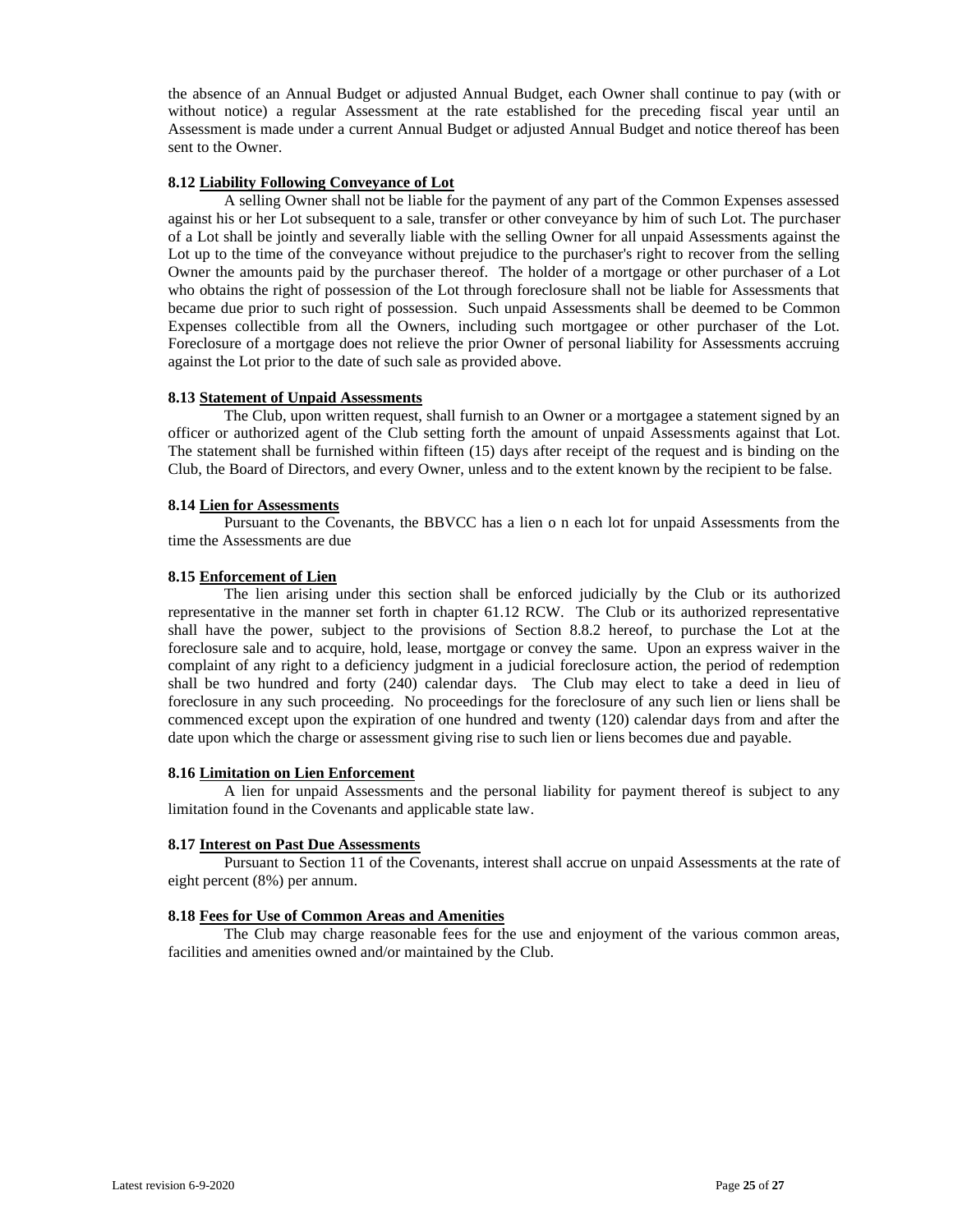the absence of an Annual Budget or adjusted Annual Budget, each Owner shall continue to pay (with or without notice) a regular Assessment at the rate established for the preceding fiscal year until an Assessment is made under a current Annual Budget or adjusted Annual Budget and notice thereof has been sent to the Owner.

#### **8.12 Liability Following Conveyance of Lot**

A selling Owner shall not be liable for the payment of any part of the Common Expenses assessed against his or her Lot subsequent to a sale, transfer or other conveyance by him of such Lot. The purchaser of a Lot shall be jointly and severally liable with the selling Owner for all unpaid Assessments against the Lot up to the time of the conveyance without prejudice to the purchaser's right to recover from the selling Owner the amounts paid by the purchaser thereof. The holder of a mortgage or other purchaser of a Lot who obtains the right of possession of the Lot through foreclosure shall not be liable for Assessments that became due prior to such right of possession. Such unpaid Assessments shall be deemed to be Common Expenses collectible from all the Owners, including such mortgagee or other purchaser of the Lot. Foreclosure of a mortgage does not relieve the prior Owner of personal liability for Assessments accruing against the Lot prior to the date of such sale as provided above.

#### **8.13 Statement of Unpaid Assessments**

The Club, upon written request, shall furnish to an Owner or a mortgagee a statement signed by an officer or authorized agent of the Club setting forth the amount of unpaid Assessments against that Lot. The statement shall be furnished within fifteen (15) days after receipt of the request and is binding on the Club, the Board of Directors, and every Owner, unless and to the extent known by the recipient to be false.

# **8.14 Lien for Assessments**

Pursuant to the Covenants, the BBVCC has a lien o n each lot for unpaid Assessments from the time the Assessments are due

# **8.15 Enforcement of Lien**

The lien arising under this section shall be enforced judicially by the Club or its authorized representative in the manner set forth in chapter 61.12 RCW. The Club or its authorized representative shall have the power, subject to the provisions of Section 8.8.2 hereof, to purchase the Lot at the foreclosure sale and to acquire, hold, lease, mortgage or convey the same. Upon an express waiver in the complaint of any right to a deficiency judgment in a judicial foreclosure action, the period of redemption shall be two hundred and forty (240) calendar days. The Club may elect to take a deed in lieu of foreclosure in any such proceeding. No proceedings for the foreclosure of any such lien or liens shall be commenced except upon the expiration of one hundred and twenty (120) calendar days from and after the date upon which the charge or assessment giving rise to such lien or liens becomes due and payable.

#### **8.16 Limitation on Lien Enforcement**

A lien for unpaid Assessments and the personal liability for payment thereof is subject to any limitation found in the Covenants and applicable state law.

#### **8.17 Interest on Past Due Assessments**

Pursuant to Section 11 of the Covenants, interest shall accrue on unpaid Assessments at the rate of eight percent (8%) per annum.

#### **8.18 Fees for Use of Common Areas and Amenities**

The Club may charge reasonable fees for the use and enjoyment of the various common areas, facilities and amenities owned and/or maintained by the Club.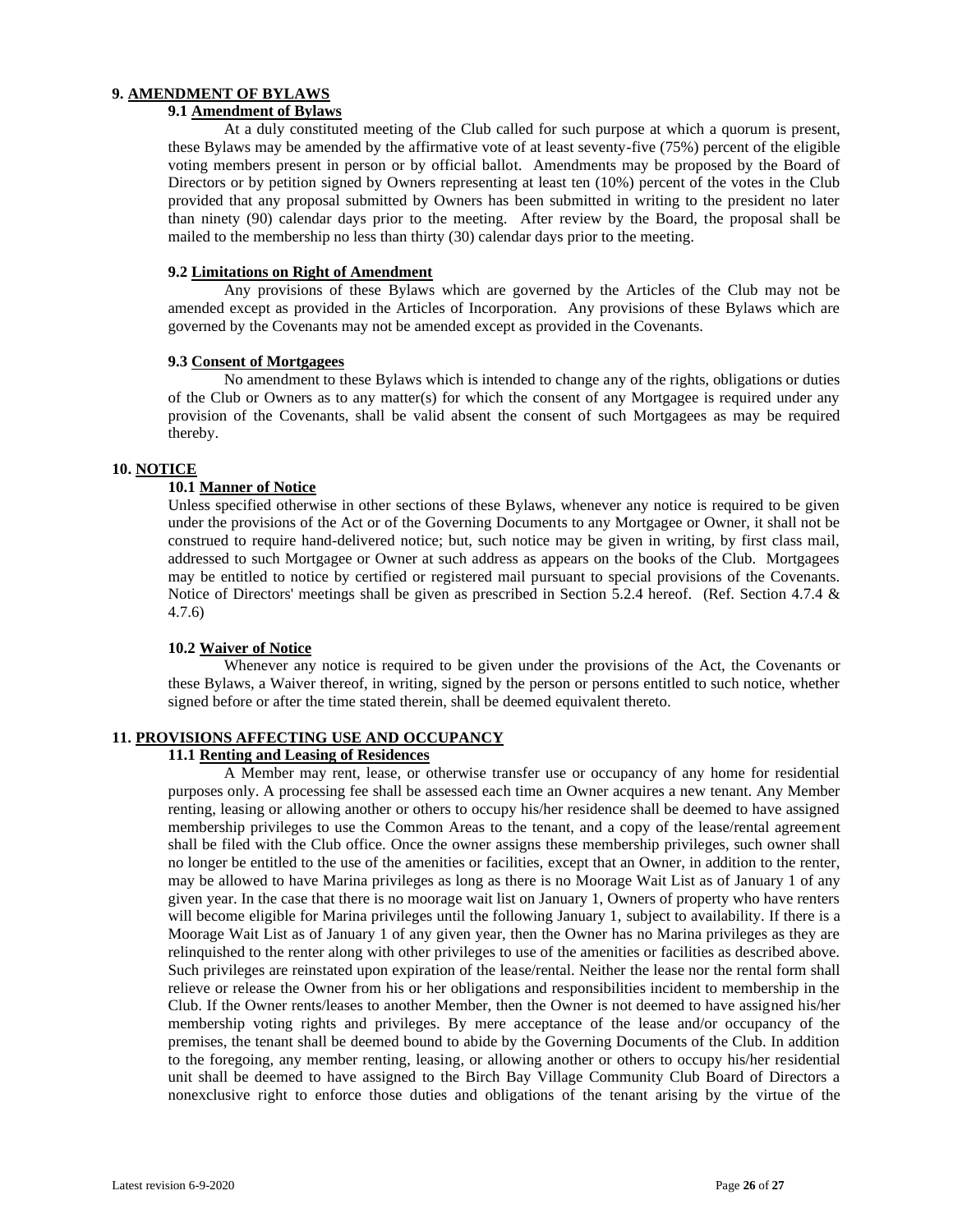# **9. AMENDMENT OF BYLAWS**

# **9.1 Amendment of Bylaws**

At a duly constituted meeting of the Club called for such purpose at which a quorum is present, these Bylaws may be amended by the affirmative vote of at least seventy-five (75%) percent of the eligible voting members present in person or by official ballot. Amendments may be proposed by the Board of Directors or by petition signed by Owners representing at least ten (10%) percent of the votes in the Club provided that any proposal submitted by Owners has been submitted in writing to the president no later than ninety (90) calendar days prior to the meeting. After review by the Board, the proposal shall be mailed to the membership no less than thirty (30) calendar days prior to the meeting.

# **9.2 Limitations on Right of Amendment**

Any provisions of these Bylaws which are governed by the Articles of the Club may not be amended except as provided in the Articles of Incorporation. Any provisions of these Bylaws which are governed by the Covenants may not be amended except as provided in the Covenants.

# **9.3 Consent of Mortgagees**

No amendment to these Bylaws which is intended to change any of the rights, obligations or duties of the Club or Owners as to any matter(s) for which the consent of any Mortgagee is required under any provision of the Covenants, shall be valid absent the consent of such Mortgagees as may be required thereby.

# **10. NOTICE**

# **10.1 Manner of Notice**

Unless specified otherwise in other sections of these Bylaws, whenever any notice is required to be given under the provisions of the Act or of the Governing Documents to any Mortgagee or Owner, it shall not be construed to require hand-delivered notice; but, such notice may be given in writing, by first class mail, addressed to such Mortgagee or Owner at such address as appears on the books of the Club. Mortgagees may be entitled to notice by certified or registered mail pursuant to special provisions of the Covenants. Notice of Directors' meetings shall be given as prescribed in Section 5.2.4 hereof. (Ref. Section 4.7.4 & 4.7.6)

#### **10.2 Waiver of Notice**

Whenever any notice is required to be given under the provisions of the Act, the Covenants or these Bylaws, a Waiver thereof, in writing, signed by the person or persons entitled to such notice, whether signed before or after the time stated therein, shall be deemed equivalent thereto.

# **11. PROVISIONS AFFECTING USE AND OCCUPANCY**

# **11.1 Renting and Leasing of Residences**

A Member may rent, lease, or otherwise transfer use or occupancy of any home for residential purposes only. A processing fee shall be assessed each time an Owner acquires a new tenant. Any Member renting, leasing or allowing another or others to occupy his/her residence shall be deemed to have assigned membership privileges to use the Common Areas to the tenant, and a copy of the lease/rental agreement shall be filed with the Club office. Once the owner assigns these membership privileges, such owner shall no longer be entitled to the use of the amenities or facilities, except that an Owner, in addition to the renter, may be allowed to have Marina privileges as long as there is no Moorage Wait List as of January 1 of any given year. In the case that there is no moorage wait list on January 1, Owners of property who have renters will become eligible for Marina privileges until the following January 1, subject to availability. If there is a Moorage Wait List as of January 1 of any given year, then the Owner has no Marina privileges as they are relinquished to the renter along with other privileges to use of the amenities or facilities as described above. Such privileges are reinstated upon expiration of the lease/rental. Neither the lease nor the rental form shall relieve or release the Owner from his or her obligations and responsibilities incident to membership in the Club. If the Owner rents/leases to another Member, then the Owner is not deemed to have assigned his/her membership voting rights and privileges. By mere acceptance of the lease and/or occupancy of the premises, the tenant shall be deemed bound to abide by the Governing Documents of the Club. In addition to the foregoing, any member renting, leasing, or allowing another or others to occupy his/her residential unit shall be deemed to have assigned to the Birch Bay Village Community Club Board of Directors a nonexclusive right to enforce those duties and obligations of the tenant arising by the virtue of the